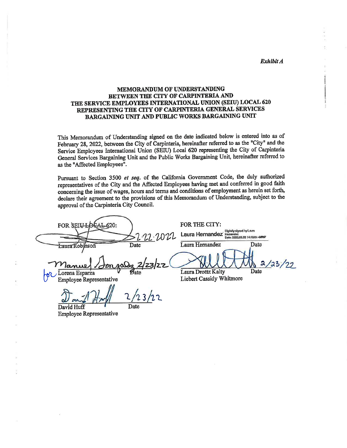Exhibit A

#### MEMORANDUM OF UNDERSTANDING BETWEEN THE CITY OF CARPINTERIA AND THE SERVICE EMPLOYEES INTERNATIONAL UNION (SEIU) LOCAL 620 REPRESENTING THE CITY OF CARPINTERIA GENERAL SERVICES BARGAINING UNIT AND PUBLIC WORKS BARGAINING UNIT

This Memorandum of Understanding signed on the date indicated below is entered into as of February 28, 2022, between the City of Carpinteria, hereinafter referred to as the "City" and the Service Employees International Union (SEIU) Local 620 representing the City of Carpinteria General Services Bargaining Unit and the Public Works Bargaining Unit, hereinafter referred to as the "Affected Employees".

Pursuant to Section 3500 et seq. of the California Government Code, the duly authorized representatives of the City and the Affected Employees having met and conferred in good faith concerning the issue of wages, hours and terms and conditions of employment as herein set forth, declare their agreement to the provisions of this Memorandum of Understanding, subject to the approval of the Carpinteria City Council.

| FOR SEIU-LOGAL-620:            |      | FOR THE CITY:<br>$2.22 \cdot 20.22$ Laura Hernandez Hemandez Hernandez | Data: 2022.02.22 14:19:04 -08'00* |  |
|--------------------------------|------|------------------------------------------------------------------------|-----------------------------------|--|
|                                | Date | Laura Hernandez                                                        | Date                              |  |
| Manuel Honzalez 2/23/22        |      |                                                                        | 2/23/27                           |  |
| Lorena Esparza                 | Bate | Laura Drottz Kalty                                                     | Date                              |  |
| <b>Employee Representative</b> |      | Liebert Cassidy Whitmore                                               |                                   |  |

**Employee Representative**  $123/22$ 

David Huff Employee Representative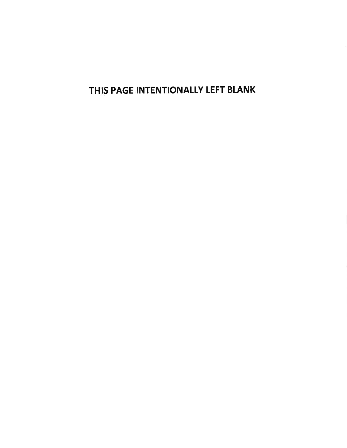THIS PAGE INTENTIONALLY LEFT BLANK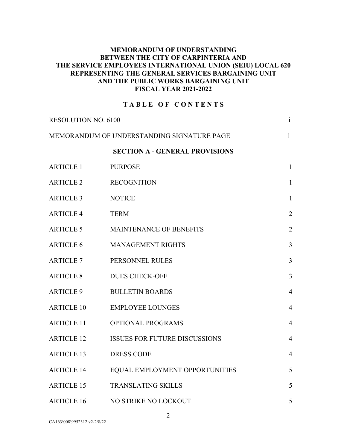## **MEMORANDUM OF UNDERSTANDING BETWEEN THE CITY OF CARPINTERIA AND THE SERVICE EMPLOYEES INTERNATIONAL UNION (SEIU) LOCAL 620 REPRESENTING THE GENERAL SERVICES BARGAINING UNIT AND THE PUBLIC WORKS BARGAINING UNIT FISCAL YEAR 2021-2022**

# **T A B L E O F C O N T E N T S**

| <b>RESOLUTION NO. 6100</b>                 |                                       | $\mathbf{i}$   |
|--------------------------------------------|---------------------------------------|----------------|
| MEMORANDUM OF UNDERSTANDING SIGNATURE PAGE |                                       | $\mathbf{1}$   |
|                                            | <b>SECTION A - GENERAL PROVISIONS</b> |                |
| <b>ARTICLE 1</b>                           | <b>PURPOSE</b>                        | $\mathbf{1}$   |
| <b>ARTICLE 2</b>                           | <b>RECOGNITION</b>                    | $\mathbf{1}$   |
| <b>ARTICLE 3</b>                           | <b>NOTICE</b>                         | $\mathbf{1}$   |
| <b>ARTICLE 4</b>                           | <b>TERM</b>                           | $\overline{2}$ |
| <b>ARTICLE 5</b>                           | MAINTENANCE OF BENEFITS               | $\overline{2}$ |
| <b>ARTICLE 6</b>                           | <b>MANAGEMENT RIGHTS</b>              | $\overline{3}$ |
| <b>ARTICLE 7</b>                           | PERSONNEL RULES                       | $\overline{3}$ |
| <b>ARTICLE 8</b>                           | <b>DUES CHECK-OFF</b>                 | $\overline{3}$ |
| <b>ARTICLE 9</b>                           | <b>BULLETIN BOARDS</b>                | $\overline{4}$ |
| <b>ARTICLE 10</b>                          | <b>EMPLOYEE LOUNGES</b>               | $\overline{4}$ |
| <b>ARTICLE 11</b>                          | OPTIONAL PROGRAMS                     | $\overline{4}$ |
| <b>ARTICLE 12</b>                          | <b>ISSUES FOR FUTURE DISCUSSIONS</b>  | $\overline{4}$ |
| <b>ARTICLE 13</b>                          | <b>DRESS CODE</b>                     | $\overline{4}$ |
| <b>ARTICLE 14</b>                          | EQUAL EMPLOYMENT OPPORTUNITIES        | 5              |
| <b>ARTICLE 15</b>                          | <b>TRANSLATING SKILLS</b>             | 5              |
| <b>ARTICLE 16</b>                          | NO STRIKE NO LOCKOUT                  | 5              |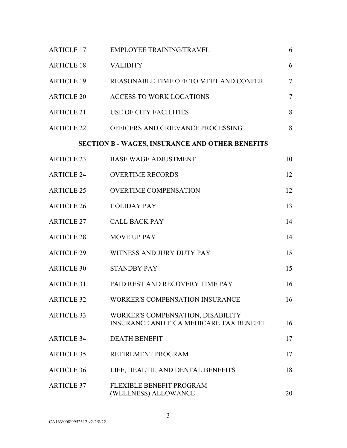| <b>ARTICLE 17</b> | <b>EMPLOYEE TRAINING/TRAVEL</b>                                                     | 6              |
|-------------------|-------------------------------------------------------------------------------------|----------------|
| <b>ARTICLE 18</b> | <b>VALIDITY</b>                                                                     | 6              |
| <b>ARTICLE 19</b> | REASONABLE TIME OFF TO MEET AND CONFER                                              | $\overline{7}$ |
| <b>ARTICLE 20</b> | <b>ACCESS TO WORK LOCATIONS</b>                                                     | $\overline{7}$ |
| <b>ARTICLE 21</b> | <b>USE OF CITY FACILITIES</b>                                                       | 8              |
|                   | ARTICLE 22 OFFICERS AND GRIEVANCE PROCESSING                                        | 8              |
|                   | <b>SECTION B - WAGES, INSURANCE AND OTHER BENEFITS</b>                              |                |
| <b>ARTICLE 23</b> | <b>BASE WAGE ADJUSTMENT</b>                                                         | 10             |
| <b>ARTICLE 24</b> | <b>OVERTIME RECORDS</b>                                                             | 12             |
| <b>ARTICLE 25</b> | <b>OVERTIME COMPENSATION</b>                                                        | 12             |
| <b>ARTICLE 26</b> | <b>HOLIDAY PAY</b>                                                                  | 13             |
| <b>ARTICLE 27</b> | <b>CALL BACK PAY</b>                                                                | 14             |
| <b>ARTICLE 28</b> | MOVE UP PAY                                                                         | 14             |
| <b>ARTICLE 29</b> | WITNESS AND JURY DUTY PAY                                                           | 15             |
| <b>ARTICLE 30</b> | <b>STANDBY PAY</b>                                                                  | 15             |
| <b>ARTICLE 31</b> | PAID REST AND RECOVERY TIME PAY                                                     | 16             |
| <b>ARTICLE 32</b> | <b>WORKER'S COMPENSATION INSURANCE</b>                                              | 16             |
| <b>ARTICLE 33</b> | WORKER'S COMPENSATION, DISABILITY<br><b>INSURANCE AND FICA MEDICARE TAX BENEFIT</b> | 16             |
| <b>ARTICLE 34</b> | <b>DEATH BENEFIT</b>                                                                | 17             |
| <b>ARTICLE 35</b> | RETIREMENT PROGRAM                                                                  | 17             |
| <b>ARTICLE 36</b> | LIFE, HEALTH, AND DENTAL BENEFITS                                                   | 18             |
| <b>ARTICLE 37</b> | FLEXIBLE BENEFIT PROGRAM<br>(WELLNESS) ALLOWANCE                                    | 20             |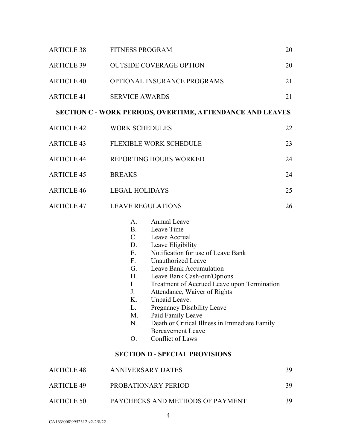| <b>ARTICLE 38</b> | <b>FITNESS PROGRAM</b>                                                                                                                                                                                                                                                                                                                                                                                                                                                                                                                                                                                       | 20 |
|-------------------|--------------------------------------------------------------------------------------------------------------------------------------------------------------------------------------------------------------------------------------------------------------------------------------------------------------------------------------------------------------------------------------------------------------------------------------------------------------------------------------------------------------------------------------------------------------------------------------------------------------|----|
| <b>ARTICLE 39</b> | <b>OUTSIDE COVERAGE OPTION</b>                                                                                                                                                                                                                                                                                                                                                                                                                                                                                                                                                                               | 20 |
| <b>ARTICLE 40</b> | OPTIONAL INSURANCE PROGRAMS                                                                                                                                                                                                                                                                                                                                                                                                                                                                                                                                                                                  | 21 |
| <b>ARTICLE 41</b> | <b>SERVICE AWARDS</b>                                                                                                                                                                                                                                                                                                                                                                                                                                                                                                                                                                                        | 21 |
|                   | <b>SECTION C - WORK PERIODS, OVERTIME, ATTENDANCE AND LEAVES</b>                                                                                                                                                                                                                                                                                                                                                                                                                                                                                                                                             |    |
| <b>ARTICLE 42</b> | <b>WORK SCHEDULES</b>                                                                                                                                                                                                                                                                                                                                                                                                                                                                                                                                                                                        | 22 |
| <b>ARTICLE 43</b> | <b>FLEXIBLE WORK SCHEDULE</b>                                                                                                                                                                                                                                                                                                                                                                                                                                                                                                                                                                                | 23 |
| <b>ARTICLE 44</b> | REPORTING HOURS WORKED                                                                                                                                                                                                                                                                                                                                                                                                                                                                                                                                                                                       | 24 |
| <b>ARTICLE 45</b> | <b>BREAKS</b>                                                                                                                                                                                                                                                                                                                                                                                                                                                                                                                                                                                                | 24 |
| <b>ARTICLE 46</b> | <b>LEGAL HOLIDAYS</b>                                                                                                                                                                                                                                                                                                                                                                                                                                                                                                                                                                                        | 25 |
| <b>ARTICLE 47</b> | <b>LEAVE REGULATIONS</b>                                                                                                                                                                                                                                                                                                                                                                                                                                                                                                                                                                                     | 26 |
|                   | <b>Annual Leave</b><br>A.<br>Leave Time<br><b>B.</b><br>C.<br>Leave Accrual<br>D.<br>Leave Eligibility<br>Notification for use of Leave Bank<br>E.<br>F.<br>Unauthorized Leave<br>G.<br>Leave Bank Accumulation<br>Leave Bank Cash-out/Options<br>H.<br>Treatment of Accrued Leave upon Termination<br>$\mathbf{I}$<br>J.<br>Attendance, Waiver of Rights<br>K.<br>Unpaid Leave.<br><b>Pregnancy Disability Leave</b><br>L.<br>Paid Family Leave<br>M.<br>Death or Critical Illness in Immediate Family<br>N.<br><b>Bereavement Leave</b><br>Conflict of Laws<br>O.<br><b>SECTION D - SPECIAL PROVISIONS</b> |    |
|                   |                                                                                                                                                                                                                                                                                                                                                                                                                                                                                                                                                                                                              |    |
| <b>ARTICLE 48</b> | <b>ANNIVERSARY DATES</b>                                                                                                                                                                                                                                                                                                                                                                                                                                                                                                                                                                                     | 39 |
| <b>ARTICLE 49</b> | PROBATIONARY PERIOD                                                                                                                                                                                                                                                                                                                                                                                                                                                                                                                                                                                          | 39 |
| <b>ARTICLE 50</b> | PAYCHECKS AND METHODS OF PAYMENT                                                                                                                                                                                                                                                                                                                                                                                                                                                                                                                                                                             | 39 |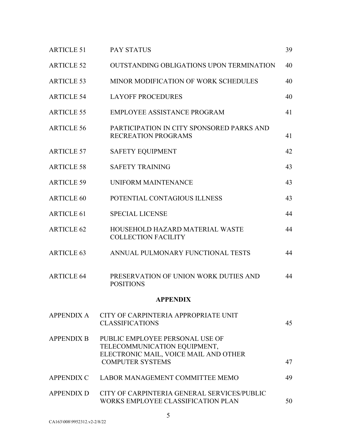| <b>ARTICLE 51</b> | <b>PAY STATUS</b>                                                                                                                   | 39 |
|-------------------|-------------------------------------------------------------------------------------------------------------------------------------|----|
| <b>ARTICLE 52</b> | OUTSTANDING OBLIGATIONS UPON TERMINATION                                                                                            | 40 |
| <b>ARTICLE 53</b> | MINOR MODIFICATION OF WORK SCHEDULES                                                                                                | 40 |
| <b>ARTICLE 54</b> | <b>LAYOFF PROCEDURES</b>                                                                                                            | 40 |
| <b>ARTICLE 55</b> | EMPLOYEE ASSISTANCE PROGRAM                                                                                                         | 41 |
| <b>ARTICLE 56</b> | PARTICIPATION IN CITY SPONSORED PARKS AND<br><b>RECREATION PROGRAMS</b>                                                             | 41 |
| <b>ARTICLE 57</b> | <b>SAFETY EQUIPMENT</b>                                                                                                             | 42 |
| <b>ARTICLE 58</b> | <b>SAFETY TRAINING</b>                                                                                                              | 43 |
| <b>ARTICLE 59</b> | UNIFORM MAINTENANCE                                                                                                                 | 43 |
| <b>ARTICLE 60</b> | POTENTIAL CONTAGIOUS ILLNESS                                                                                                        | 43 |
| <b>ARTICLE 61</b> | <b>SPECIAL LICENSE</b>                                                                                                              | 44 |
| <b>ARTICLE 62</b> | HOUSEHOLD HAZARD MATERIAL WASTE<br><b>COLLECTION FACILITY</b>                                                                       | 44 |
| <b>ARTICLE 63</b> | ANNUAL PULMONARY FUNCTIONAL TESTS                                                                                                   | 44 |
| <b>ARTICLE 64</b> | PRESERVATION OF UNION WORK DUTIES AND<br><b>POSITIONS</b>                                                                           | 44 |
|                   | <b>APPENDIX</b>                                                                                                                     |    |
| APPENDIX A        | CITY OF CARPINTERIA APPROPRIATE UNIT<br><b>CLASSIFICATIONS</b>                                                                      | 45 |
| <b>APPENDIX B</b> | PUBLIC EMPLOYEE PERSONAL USE OF<br>TELECOMMUNICATION EQUIPMENT,<br>ELECTRONIC MAIL, VOICE MAIL AND OTHER<br><b>COMPUTER SYSTEMS</b> | 47 |
| <b>APPENDIX C</b> | LABOR MANAGEMENT COMMITTEE MEMO                                                                                                     | 49 |
| <b>APPENDIX D</b> | CITY OF CARPINTERIA GENERAL SERVICES/PUBLIC<br>WORKS EMPLOYEE CLASSIFICATION PLAN                                                   | 50 |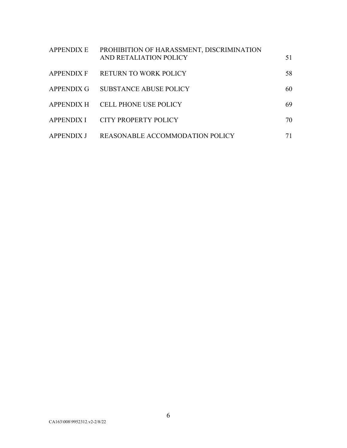|                   | APPENDIX E PROHIBITION OF HARASSMENT, DISCRIMINATION<br>AND RETALIATION POLICY | 51 |
|-------------------|--------------------------------------------------------------------------------|----|
|                   | APPENDIX F RETURN TO WORK POLICY                                               | 58 |
|                   | APPENDIX G SUBSTANCE ABUSE POLICY                                              | 60 |
|                   | APPENDIX H CELL PHONE USE POLICY                                               | 69 |
|                   | APPENDIX I CITY PROPERTY POLICY                                                | 70 |
| <b>APPENDIX J</b> | <b>REASONABLE ACCOMMODATION POLICY</b>                                         |    |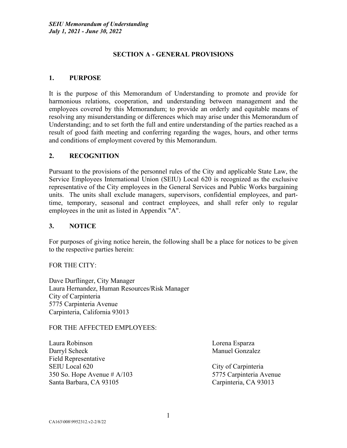### **SECTION A - GENERAL PROVISIONS**

#### **1. PURPOSE**

It is the purpose of this Memorandum of Understanding to promote and provide for harmonious relations, cooperation, and understanding between management and the employees covered by this Memorandum; to provide an orderly and equitable means of resolving any misunderstanding or differences which may arise under this Memorandum of Understanding; and to set forth the full and entire understanding of the parties reached as a result of good faith meeting and conferring regarding the wages, hours, and other terms and conditions of employment covered by this Memorandum.

### **2. RECOGNITION**

Pursuant to the provisions of the personnel rules of the City and applicable State Law, the Service Employees International Union (SEIU) Local 620 is recognized as the exclusive representative of the City employees in the General Services and Public Works bargaining units. The units shall exclude managers, supervisors, confidential employees, and parttime, temporary, seasonal and contract employees, and shall refer only to regular employees in the unit as listed in Appendix "A".

#### **3. NOTICE**

For purposes of giving notice herein, the following shall be a place for notices to be given to the respective parties herein:

FOR THE CITY:

Dave Durflinger, City Manager Laura Hernandez, Human Resources/Risk Manager City of Carpinteria 5775 Carpinteria Avenue Carpinteria, California 93013

#### FOR THE AFFECTED EMPLOYEES:

Laura Robinson Lorena Esparza Darryl Scheck Manuel Gonzalez Field Representative<br>SEIU Local 620 350 So. Hope Avenue # A/103 5775 Carpinteria Avenue Santa Barbara, CA 93105 Carpinteria, CA 93013

City of Carpinteria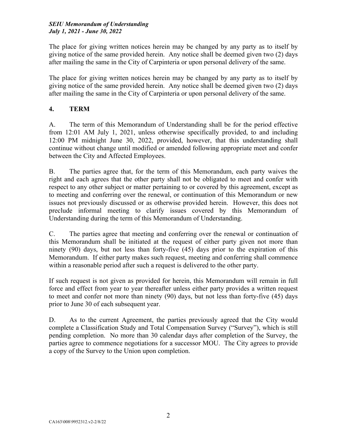The place for giving written notices herein may be changed by any party as to itself by giving notice of the same provided herein. Any notice shall be deemed given two (2) days after mailing the same in the City of Carpinteria or upon personal delivery of the same.

The place for giving written notices herein may be changed by any party as to itself by giving notice of the same provided herein. Any notice shall be deemed given two (2) days after mailing the same in the City of Carpinteria or upon personal delivery of the same.

# **4. TERM**

A. The term of this Memorandum of Understanding shall be for the period effective from 12:01 AM July 1, 2021, unless otherwise specifically provided, to and including 12:00 PM midnight June 30, 2022, provided, however, that this understanding shall continue without change until modified or amended following appropriate meet and confer between the City and Affected Employees.

B. The parties agree that, for the term of this Memorandum, each party waives the right and each agrees that the other party shall not be obligated to meet and confer with respect to any other subject or matter pertaining to or covered by this agreement, except as to meeting and conferring over the renewal, or continuation of this Memorandum or new issues not previously discussed or as otherwise provided herein. However, this does not preclude informal meeting to clarify issues covered by this Memorandum of Understanding during the term of this Memorandum of Understanding.

C. The parties agree that meeting and conferring over the renewal or continuation of this Memorandum shall be initiated at the request of either party given not more than ninety (90) days, but not less than forty-five (45) days prior to the expiration of this Memorandum. If either party makes such request, meeting and conferring shall commence within a reasonable period after such a request is delivered to the other party.

If such request is not given as provided for herein, this Memorandum will remain in full force and effect from year to year thereafter unless either party provides a written request to meet and confer not more than ninety (90) days, but not less than forty-five (45) days prior to June 30 of each subsequent year.

D. As to the current Agreement, the parties previously agreed that the City would complete a Classification Study and Total Compensation Survey ("Survey"), which is still pending completion. No more than 30 calendar days after completion of the Survey, the parties agree to commence negotiations for a successor MOU. The City agrees to provide a copy of the Survey to the Union upon completion.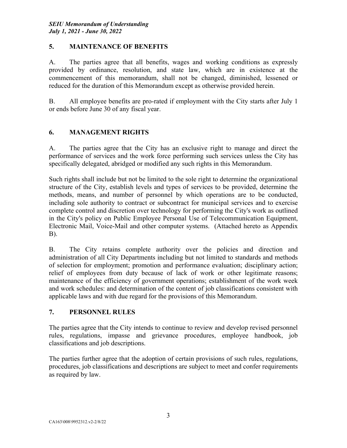### **5. MAINTENANCE OF BENEFITS**

A. The parties agree that all benefits, wages and working conditions as expressly provided by ordinance, resolution, and state law, which are in existence at the commencement of this memorandum, shall not be changed, diminished, lessened or reduced for the duration of this Memorandum except as otherwise provided herein.

B. All employee benefits are pro-rated if employment with the City starts after July 1 or ends before June 30 of any fiscal year.

# **6. MANAGEMENT RIGHTS**

A. The parties agree that the City has an exclusive right to manage and direct the performance of services and the work force performing such services unless the City has specifically delegated, abridged or modified any such rights in this Memorandum.

Such rights shall include but not be limited to the sole right to determine the organizational structure of the City, establish levels and types of services to be provided, determine the methods, means, and number of personnel by which operations are to be conducted, including sole authority to contract or subcontract for municipal services and to exercise complete control and discretion over technology for performing the City's work as outlined in the City's policy on Public Employee Personal Use of Telecommunication Equipment, Electronic Mail, Voice-Mail and other computer systems. (Attached hereto as Appendix B).

B. The City retains complete authority over the policies and direction and administration of all City Departments including but not limited to standards and methods of selection for employment; promotion and performance evaluation; disciplinary action; relief of employees from duty because of lack of work or other legitimate reasons; maintenance of the efficiency of government operations; establishment of the work week and work schedules: and determination of the content of job classifications consistent with applicable laws and with due regard for the provisions of this Memorandum.

### **7. PERSONNEL RULES**

The parties agree that the City intends to continue to review and develop revised personnel rules, regulations, impasse and grievance procedures, employee handbook, job classifications and job descriptions.

The parties further agree that the adoption of certain provisions of such rules, regulations, procedures, job classifications and descriptions are subject to meet and confer requirements as required by law.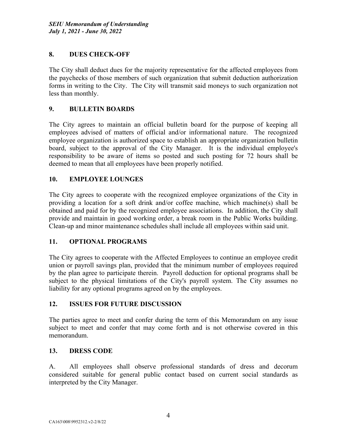## **8. DUES CHECK-OFF**

The City shall deduct dues for the majority representative for the affected employees from the paychecks of those members of such organization that submit deduction authorization forms in writing to the City. The City will transmit said moneys to such organization not less than monthly.

## **9. BULLETIN BOARDS**

The City agrees to maintain an official bulletin board for the purpose of keeping all employees advised of matters of official and/or informational nature. The recognized employee organization is authorized space to establish an appropriate organization bulletin board, subject to the approval of the City Manager. It is the individual employee's responsibility to be aware of items so posted and such posting for 72 hours shall be deemed to mean that all employees have been properly notified.

### **10. EMPLOYEE LOUNGES**

The City agrees to cooperate with the recognized employee organizations of the City in providing a location for a soft drink and/or coffee machine, which machine(s) shall be obtained and paid for by the recognized employee associations. In addition, the City shall provide and maintain in good working order, a break room in the Public Works building. Clean-up and minor maintenance schedules shall include all employees within said unit.

### **11. OPTIONAL PROGRAMS**

The City agrees to cooperate with the Affected Employees to continue an employee credit union or payroll savings plan, provided that the minimum number of employees required by the plan agree to participate therein. Payroll deduction for optional programs shall be subject to the physical limitations of the City's payroll system. The City assumes no liability for any optional programs agreed on by the employees.

### **12. ISSUES FOR FUTURE DISCUSSION**

The parties agree to meet and confer during the term of this Memorandum on any issue subject to meet and confer that may come forth and is not otherwise covered in this memorandum.

### **13. DRESS CODE**

A. All employees shall observe professional standards of dress and decorum considered suitable for general public contact based on current social standards as interpreted by the City Manager.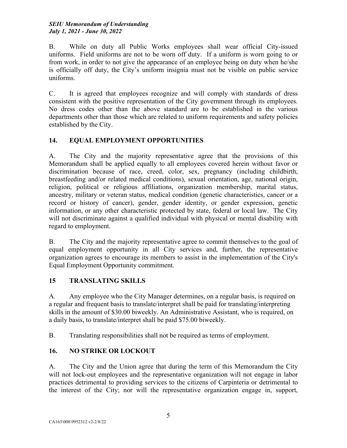B. While on duty all Public Works employees shall wear official City-issued uniforms. Field uniforms are not to be worn off duty. If a uniform is worn going to or from work, in order to not give the appearance of an employee being on duty when he/she is officially off duty, the City's uniform insignia must not be visible on public service uniforms.

C. It is agreed that employees recognize and will comply with standards of dress consistent with the positive representation of the City government through its employees. No dress codes other than the above standard are to be established in the various departments other than those which are related to uniform requirements and safety policies established by the City.

# **14. EQUAL EMPLOYMENT OPPORTUNITIES**

A. The City and the majority representative agree that the provisions of this Memorandum shall be applied equally to all employees covered herein without favor or discrimination because of race, creed, color, sex, pregnancy (including childbirth, breastfeeding and/or related medical conditions), sexual orientation, age, national origin, religion, political or religious affiliations, organization membership, marital status, ancestry, military or veteran status, medical condition (genetic characteristics, cancer or a record or history of cancer), gender, gender identity, or gender expression, genetic information, or any other characteristic protected by state, federal or local law. The City will not discriminate against a qualified individual with physical or mental disability with regard to employment.

B. The City and the majority representative agree to commit themselves to the goal of equal employment opportunity in all City services and, further, the representative organization agrees to encourage its members to assist in the implementation of the City's Equal Employment Opportunity commitment.

# **15 TRANSLATING SKILLS**

A. Any employee who the City Manager determines, on a regular basis, is required on a regular and frequent basis to translate/interpret shall be paid for translating/interpreting skills in the amount of \$30.00 biweekly. An Administrative Assistant, who is required, on a daily basis, to translate/interpret shall be paid \$75.00 biweekly.

B. Translating responsibilities shall not be required as terms of employment.

# **16. NO STRIKE OR LOCKOUT**

A. The City and the Union agree that during the term of this Memorandum the City will not lock-out employees and the representative organization will not engage in labor practices detrimental to providing services to the citizens of Carpinteria or detrimental to the interest of the City; nor will the representative organization engage in, support,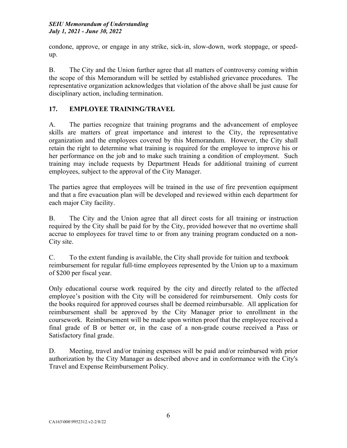condone, approve, or engage in any strike, sick-in, slow-down, work stoppage, or speedup.

B. The City and the Union further agree that all matters of controversy coming within the scope of this Memorandum will be settled by established grievance procedures. The representative organization acknowledges that violation of the above shall be just cause for disciplinary action, including termination.

# **17. EMPLOYEE TRAINING/TRAVEL**

A. The parties recognize that training programs and the advancement of employee skills are matters of great importance and interest to the City, the representative organization and the employees covered by this Memorandum. However, the City shall retain the right to determine what training is required for the employee to improve his or her performance on the job and to make such training a condition of employment. Such training may include requests by Department Heads for additional training of current employees, subject to the approval of the City Manager.

The parties agree that employees will be trained in the use of fire prevention equipment and that a fire evacuation plan will be developed and reviewed within each department for each major City facility.

B. The City and the Union agree that all direct costs for all training or instruction required by the City shall be paid for by the City, provided however that no overtime shall accrue to employees for travel time to or from any training program conducted on a non-City site.

C. To the extent funding is available, the City shall provide for tuition and textbook reimbursement for regular full-time employees represented by the Union up to a maximum of \$200 per fiscal year.

Only educational course work required by the city and directly related to the affected employee's position with the City will be considered for reimbursement. Only costs for the books required for approved courses shall be deemed reimbursable. All application for reimbursement shall be approved by the City Manager prior to enrollment in the coursework. Reimbursement will be made upon written proof that the employee received a final grade of B or better or, in the case of a non-grade course received a Pass or Satisfactory final grade.

D. Meeting, travel and/or training expenses will be paid and/or reimbursed with prior authorization by the City Manager as described above and in conformance with the City's Travel and Expense Reimbursement Policy.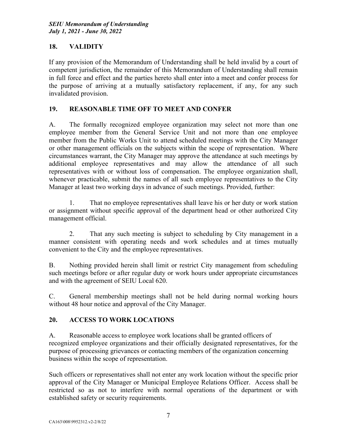# **18. VALIDITY**

If any provision of the Memorandum of Understanding shall be held invalid by a court of competent jurisdiction, the remainder of this Memorandum of Understanding shall remain in full force and effect and the parties hereto shall enter into a meet and confer process for the purpose of arriving at a mutually satisfactory replacement, if any, for any such invalidated provision.

# **19. REASONABLE TIME OFF TO MEET AND CONFER**

A. The formally recognized employee organization may select not more than one employee member from the General Service Unit and not more than one employee member from the Public Works Unit to attend scheduled meetings with the City Manager or other management officials on the subjects within the scope of representation. Where circumstances warrant, the City Manager may approve the attendance at such meetings by additional employee representatives and may allow the attendance of all such representatives with or without loss of compensation. The employee organization shall, whenever practicable, submit the names of all such employee representatives to the City Manager at least two working days in advance of such meetings. Provided, further:

 1. That no employee representatives shall leave his or her duty or work station or assignment without specific approval of the department head or other authorized City management official.

2. That any such meeting is subject to scheduling by City management in a manner consistent with operating needs and work schedules and at times mutually convenient to the City and the employee representatives.

B. Nothing provided herein shall limit or restrict City management from scheduling such meetings before or after regular duty or work hours under appropriate circumstances and with the agreement of SEIU Local 620.

C. General membership meetings shall not be held during normal working hours without 48 hour notice and approval of the City Manager.

# **20. ACCESS TO WORK LOCATIONS**

A. Reasonable access to employee work locations shall be granted officers of recognized employee organizations and their officially designated representatives, for the purpose of processing grievances or contacting members of the organization concerning business within the scope of representation.

Such officers or representatives shall not enter any work location without the specific prior approval of the City Manager or Municipal Employee Relations Officer. Access shall be restricted so as not to interfere with normal operations of the department or with established safety or security requirements.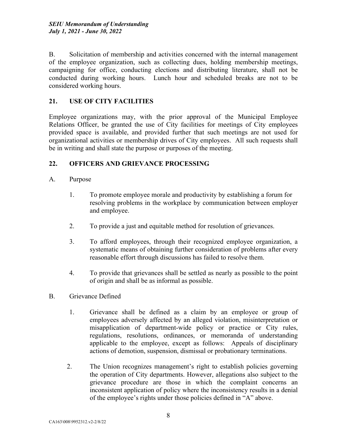B. Solicitation of membership and activities concerned with the internal management of the employee organization, such as collecting dues, holding membership meetings, campaigning for office, conducting elections and distributing literature, shall not be conducted during working hours. Lunch hour and scheduled breaks are not to be considered working hours.

# **21. USE OF CITY FACILITIES**

Employee organizations may, with the prior approval of the Municipal Employee Relations Officer, be granted the use of City facilities for meetings of City employees provided space is available, and provided further that such meetings are not used for organizational activities or membership drives of City employees. All such requests shall be in writing and shall state the purpose or purposes of the meeting.

# **22. OFFICERS AND GRIEVANCE PROCESSING**

- A. Purpose
	- 1. To promote employee morale and productivity by establishing a forum for resolving problems in the workplace by communication between employer and employee.
	- 2. To provide a just and equitable method for resolution of grievances.
	- 3. To afford employees, through their recognized employee organization, a systematic means of obtaining further consideration of problems after every reasonable effort through discussions has failed to resolve them.
	- 4. To provide that grievances shall be settled as nearly as possible to the point of origin and shall be as informal as possible.
- B. Grievance Defined
	- 1. Grievance shall be defined as a claim by an employee or group of employees adversely affected by an alleged violation, misinterpretation or misapplication of department-wide policy or practice or City rules, regulations, resolutions, ordinances, or memoranda of understanding applicable to the employee, except as follows: Appeals of disciplinary actions of demotion, suspension, dismissal or probationary terminations.
	- 2. The Union recognizes management's right to establish policies governing the operation of City departments. However, allegations also subject to the grievance procedure are those in which the complaint concerns an inconsistent application of policy where the inconsistency results in a denial of the employee's rights under those policies defined in "A" above.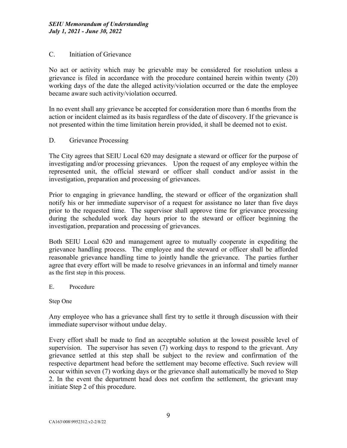### C. Initiation of Grievance

No act or activity which may be grievable may be considered for resolution unless a grievance is filed in accordance with the procedure contained herein within twenty (20) working days of the date the alleged activity/violation occurred or the date the employee became aware such activity/violation occurred.

In no event shall any grievance be accepted for consideration more than 6 months from the action or incident claimed as its basis regardless of the date of discovery. If the grievance is not presented within the time limitation herein provided, it shall be deemed not to exist.

### D. Grievance Processing

The City agrees that SEIU Local 620 may designate a steward or officer for the purpose of investigating and/or processing grievances. Upon the request of any employee within the represented unit, the official steward or officer shall conduct and/or assist in the investigation, preparation and processing of grievances.

Prior to engaging in grievance handling, the steward or officer of the organization shall notify his or her immediate supervisor of a request for assistance no later than five days prior to the requested time. The supervisor shall approve time for grievance processing during the scheduled work day hours prior to the steward or officer beginning the investigation, preparation and processing of grievances.

Both SEIU Local 620 and management agree to mutually cooperate in expediting the grievance handling process. The employee and the steward or officer shall be afforded reasonable grievance handling time to jointly handle the grievance. The parties further agree that every effort will be made to resolve grievances in an informal and timely manner as the first step in this process.

- E. Procedure
- Step One

Any employee who has a grievance shall first try to settle it through discussion with their immediate supervisor without undue delay.

Every effort shall be made to find an acceptable solution at the lowest possible level of supervision. The supervisor has seven (7) working days to respond to the grievant. Any grievance settled at this step shall be subject to the review and confirmation of the respective department head before the settlement may become effective. Such review will occur within seven (7) working days or the grievance shall automatically be moved to Step 2. In the event the department head does not confirm the settlement, the grievant may initiate Step 2 of this procedure.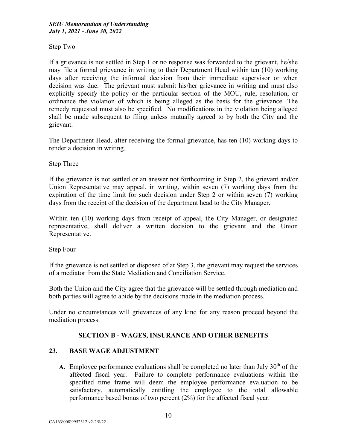Step Two

If a grievance is not settled in Step 1 or no response was forwarded to the grievant, he/she may file a formal grievance in writing to their Department Head within ten (10) working days after receiving the informal decision from their immediate supervisor or when decision was due. The grievant must submit his/her grievance in writing and must also explicitly specify the policy or the particular section of the MOU, rule, resolution, or ordinance the violation of which is being alleged as the basis for the grievance. The remedy requested must also be specified. No modifications in the violation being alleged shall be made subsequent to filing unless mutually agreed to by both the City and the grievant.

The Department Head, after receiving the formal grievance, has ten (10) working days to render a decision in writing.

Step Three

If the grievance is not settled or an answer not forthcoming in Step 2, the grievant and/or Union Representative may appeal, in writing, within seven (7) working days from the expiration of the time limit for such decision under Step 2 or within seven (7) working days from the receipt of the decision of the department head to the City Manager.

Within ten (10) working days from receipt of appeal, the City Manager, or designated representative, shall deliver a written decision to the grievant and the Union Representative.

Step Four

If the grievance is not settled or disposed of at Step 3, the grievant may request the services of a mediator from the State Mediation and Conciliation Service.

Both the Union and the City agree that the grievance will be settled through mediation and both parties will agree to abide by the decisions made in the mediation process.

Under no circumstances will grievances of any kind for any reason proceed beyond the mediation process.

# **SECTION B - WAGES, INSURANCE AND OTHER BENEFITS**

# **23. BASE WAGE ADJUSTMENT**

**A.** Employee performance evaluations shall be completed no later than July  $30<sup>th</sup>$  of the affected fiscal year. Failure to complete performance evaluations within the specified time frame will deem the employee performance evaluation to be satisfactory, automatically entitling the employee to the total allowable performance based bonus of two percent (2%) for the affected fiscal year.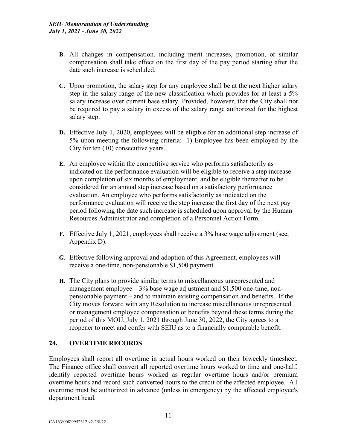- **B.** All changes in compensation, including merit increases, promotion, or similar compensation shall take effect on the first day of the pay period starting after the date such increase is scheduled.
- **C.** Upon promotion, the salary step for any employee shall be at the next higher salary step in the salary range of the new classification which provides for at least a 5% salary increase over current base salary. Provided, however, that the City shall not be required to pay a salary in excess of the salary range authorized for the highest salary step.
- **D.** Effective July 1, 2020, employees will be eligible for an additional step increase of 5% upon meeting the following criteria: 1) Employee has been employed by the City for ten (10) consecutive years.
- **E.** An employee within the competitive service who performs satisfactorily as indicated on the performance evaluation will be eligible to receive a step increase upon completion of six months of employment, and be eligible thereafter to be considered for an annual step increase based on a satisfactory performance evaluation. An employee who performs satisfactorily as indicated on the performance evaluation will receive the step increase the first day of the next pay period following the date such increase is scheduled upon approval by the Human Resources Administrator and completion of a Personnel Action Form.
- **F.** Effective July 1, 2021, employees shall receive a 3% base wage adjustment (see, Appendix D).
- **G.** Effective following approval and adoption of this Agreement, employees will receive a one-time, non-pensionable \$1,500 payment.
- **H.** The City plans to provide similar terms to miscellaneous unrepresented and management employee  $-3\%$  base wage adjustment and \$1,500 one-time, nonpensionable payment – and to maintain existing compensation and benefits. If the City moves forward with any Resolution to increase miscellaneous unrepresented or management employee compensation or benefits beyond these terms during the period of this MOU, July 1, 2021 through June 30, 2022, the City agrees to a reopener to meet and confer with SEIU as to a financially comparable benefit.

# **24. OVERTIME RECORDS**

Employees shall report all overtime in actual hours worked on their biweekly timesheet. The Finance office shall convert all reported overtime hours worked to time and one-half, identify reported overtime hours worked as regular overtime hours and/or premium overtime hours and record such converted hours to the credit of the affected employee. All overtime must be authorized in advance (unless in emergency) by the affected employee's department head.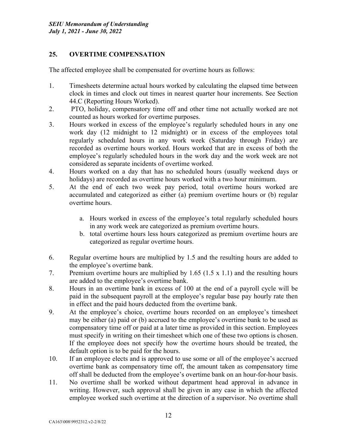# **25. OVERTIME COMPENSATION**

The affected employee shall be compensated for overtime hours as follows:

- 1. Timesheets determine actual hours worked by calculating the elapsed time between clock in times and clock out times in nearest quarter hour increments. See Section 44.C (Reporting Hours Worked).
- 2. PTO, holiday, compensatory time off and other time not actually worked are not counted as hours worked for overtime purposes.
- 3. Hours worked in excess of the employee's regularly scheduled hours in any one work day (12 midnight to 12 midnight) or in excess of the employees total regularly scheduled hours in any work week (Saturday through Friday) are recorded as overtime hours worked. Hours worked that are in excess of both the employee's regularly scheduled hours in the work day and the work week are not considered as separate incidents of overtime worked.
- 4. Hours worked on a day that has no scheduled hours (usually weekend days or holidays) are recorded as overtime hours worked with a two hour minimum.
- 5. At the end of each two week pay period, total overtime hours worked are accumulated and categorized as either (a) premium overtime hours or (b) regular overtime hours.
	- a. Hours worked in excess of the employee's total regularly scheduled hours in any work week are categorized as premium overtime hours.
	- b. total overtime hours less hours categorized as premium overtime hours are categorized as regular overtime hours.
- 6. Regular overtime hours are multiplied by 1.5 and the resulting hours are added to the employee's overtime bank.
- 7. Premium overtime hours are multiplied by 1.65 (1.5 x 1.1) and the resulting hours are added to the employee's overtime bank.
- 8. Hours in an overtime bank in excess of 100 at the end of a payroll cycle will be paid in the subsequent payroll at the employee's regular base pay hourly rate then in effect and the paid hours deducted from the overtime bank.
- 9. At the employee's choice, overtime hours recorded on an employee's timesheet may be either (a) paid or (b) accrued to the employee's overtime bank to be used as compensatory time off or paid at a later time as provided in this section. Employees must specify in writing on their timesheet which one of these two options is chosen. If the employee does not specify how the overtime hours should be treated, the default option is to be paid for the hours.
- 10. If an employee elects and is approved to use some or all of the employee's accrued overtime bank as compensatory time off, the amount taken as compensatory time off shall be deducted from the employee's overtime bank on an hour-for-hour basis.
- 11. No overtime shall be worked without department head approval in advance in writing. However, such approval shall be given in any case in which the affected employee worked such overtime at the direction of a supervisor. No overtime shall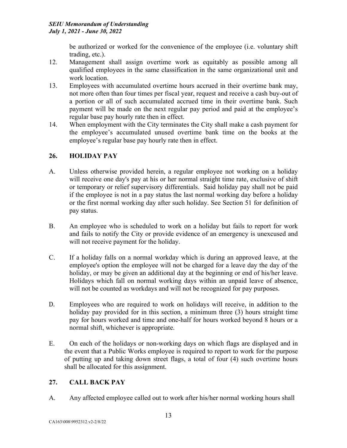be authorized or worked for the convenience of the employee (i.e. voluntary shift trading, etc.).

- 12. Management shall assign overtime work as equitably as possible among all qualified employees in the same classification in the same organizational unit and work location.
- 13. Employees with accumulated overtime hours accrued in their overtime bank may, not more often than four times per fiscal year, request and receive a cash buy-out of a portion or all of such accumulated accrued time in their overtime bank. Such payment will be made on the next regular pay period and paid at the employee's regular base pay hourly rate then in effect.
- 14. When employment with the City terminates the City shall make a cash payment for the employee's accumulated unused overtime bank time on the books at the employee's regular base pay hourly rate then in effect.

# **26. HOLIDAY PAY**

- A. Unless otherwise provided herein, a regular employee not working on a holiday will receive one day's pay at his or her normal straight time rate, exclusive of shift or temporary or relief supervisory differentials. Said holiday pay shall not be paid if the employee is not in a pay status the last normal working day before a holiday or the first normal working day after such holiday. See Section 51 for definition of pay status.
- B. An employee who is scheduled to work on a holiday but fails to report for work and fails to notify the City or provide evidence of an emergency is unexcused and will not receive payment for the holiday.
- C. If a holiday falls on a normal workday which is during an approved leave, at the employee's option the employee will not be charged for a leave day the day of the holiday, or may be given an additional day at the beginning or end of his/her leave. Holidays which fall on normal working days within an unpaid leave of absence, will not be counted as workdays and will not be recognized for pay purposes.
- D. Employees who are required to work on holidays will receive, in addition to the holiday pay provided for in this section, a minimum three (3) hours straight time pay for hours worked and time and one-half for hours worked beyond 8 hours or a normal shift, whichever is appropriate.
- E. On each of the holidays or non-working days on which flags are displayed and in the event that a Public Works employee is required to report to work for the purpose of putting up and taking down street flags, a total of four (4) such overtime hours shall be allocated for this assignment.

# **27. CALL BACK PAY**

A. Any affected employee called out to work after his/her normal working hours shall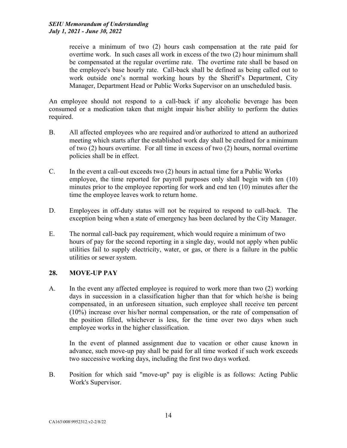receive a minimum of two (2) hours cash compensation at the rate paid for overtime work. In such cases all work in excess of the two (2) hour minimum shall be compensated at the regular overtime rate. The overtime rate shall be based on the employee's base hourly rate. Call-back shall be defined as being called out to work outside one's normal working hours by the Sheriff's Department, City Manager, Department Head or Public Works Supervisor on an unscheduled basis.

An employee should not respond to a call-back if any alcoholic beverage has been consumed or a medication taken that might impair his/her ability to perform the duties required.

- B. All affected employees who are required and/or authorized to attend an authorized meeting which starts after the established work day shall be credited for a minimum of two (2) hours overtime. For all time in excess of two (2) hours, normal overtime policies shall be in effect.
- C. In the event a call-out exceeds two (2) hours in actual time for a Public Works employee, the time reported for payroll purposes only shall begin with ten (10) minutes prior to the employee reporting for work and end ten (10) minutes after the time the employee leaves work to return home.
- D. Employees in off-duty status will not be required to respond to call-back. The exception being when a state of emergency has been declared by the City Manager.
- E. The normal call-back pay requirement, which would require a minimum of two hours of pay for the second reporting in a single day, would not apply when public utilities fail to supply electricity, water, or gas, or there is a failure in the public utilities or sewer system.

### **28. MOVE-UP PAY**

A. In the event any affected employee is required to work more than two (2) working days in succession in a classification higher than that for which he/she is being compensated, in an unforeseen situation, such employee shall receive ten percent (10%) increase over his/her normal compensation, or the rate of compensation of the position filled, whichever is less, for the time over two days when such employee works in the higher classification.

 In the event of planned assignment due to vacation or other cause known in advance, such move-up pay shall be paid for all time worked if such work exceeds two successive working days, including the first two days worked.

B. Position for which said "move-up" pay is eligible is as follows: Acting Public Work's Supervisor.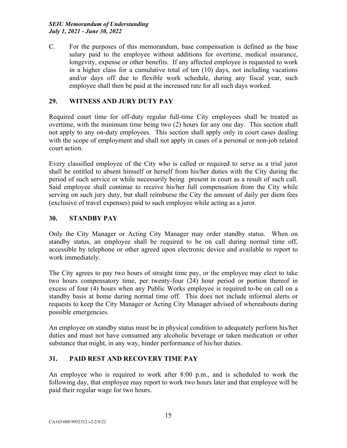C. For the purposes of this memorandum, base compensation is defined as the base salary paid to the employee without additions for overtime, medical insurance, longevity, expense or other benefits. If any affected employee is requested to work in a higher class for a cumulative total of ten (10) days, not including vacations and/or days off due to flexible work schedule, during any fiscal year, such employee shall then be paid at the increased rate for all such days worked.

## **29. WITNESS AND JURY DUTY PAY**

Required court time for off-duty regular full-time City employees shall be treated as overtime, with the minimum time being two (2) hours for any one day. This section shall not apply to any on-duty employees. This section shall apply only in court cases dealing with the scope of employment and shall not apply in cases of a personal or non-job related court action.

Every classified employee of the City who is called or required to serve as a trial juror shall be entitled to absent himself or herself from his/her duties with the City during the period of such service or while necessarily being present in court as a result of such call. Said employee shall continue to receive his/her full compensation from the City while serving on such jury duty, but shall reimburse the City the amount of daily per diem fees (exclusive of travel expenses) paid to such employee while acting as a juror.

### **30. STANDBY PAY**

Only the City Manager or Acting City Manager may order standby status. When on standby status, an employee shall be required to be on call during normal time off, accessible by telephone or other agreed upon electronic device and available to report to work immediately.

The City agrees to pay two hours of straight time pay, or the employee may elect to take two hours compensatory time, per twenty-four (24) hour period or portion thereof in excess of four (4) hours when any Public Works employee is required to-be on call on a standby basis at home during normal time off. This does not include informal alerts or requests to keep the City Manager or Acting City Manager advised of whereabouts during possible emergencies.

An employee on standby status must be in physical condition to adequately perform his/her duties and must not have consumed any alcoholic beverage or taken medication or other substance that might, in any way, hinder performance of his/her duties.

### **31. PAID REST AND RECOVERY TIME PAY**

An employee who is required to work after 8:00 p.m., and is scheduled to work the following day, that employee may report to work two hours later and that employee will be paid their regular wage for two hours.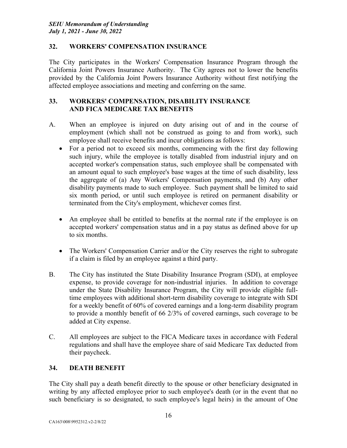### **32. WORKERS' COMPENSATION INSURANCE**

The City participates in the Workers' Compensation Insurance Program through the California Joint Powers Insurance Authority. The City agrees not to lower the benefits provided by the California Joint Powers Insurance Authority without first notifying the affected employee associations and meeting and conferring on the same.

### **33. WORKERS' COMPENSATION, DISABILITY INSURANCE AND FICA MEDICARE TAX BENEFITS**

- A. When an employee is injured on duty arising out of and in the course of employment (which shall not be construed as going to and from work), such employee shall receive benefits and incur obligations as follows:
	- For a period not to exceed six months, commencing with the first day following such injury, while the employee is totally disabled from industrial injury and on accepted worker's compensation status, such employee shall be compensated with an amount equal to such employee's base wages at the time of such disability, less the aggregate of (a) Any Workers' Compensation payments, and (b) Any other disability payments made to such employee. Such payment shall be limited to said six month period, or until such employee is retired on permanent disability or terminated from the City's employment, whichever comes first.
	- An employee shall be entitled to benefits at the normal rate if the employee is on accepted workers' compensation status and in a pay status as defined above for up to six months.
	- The Workers' Compensation Carrier and/or the City reserves the right to subrogate if a claim is filed by an employee against a third party.
- B. The City has instituted the State Disability Insurance Program (SDI), at employee expense, to provide coverage for non-industrial injuries. In addition to coverage under the State Disability Insurance Program, the City will provide eligible fulltime employees with additional short-term disability coverage to integrate with SDI for a weekly benefit of 60% of covered earnings and a long-term disability program to provide a monthly benefit of 66 2/3% of covered earnings, such coverage to be added at City expense.
- C. All employees are subject to the FICA Medicare taxes in accordance with Federal regulations and shall have the employee share of said Medicare Tax deducted from their paycheck.

# **34. DEATH BENEFIT**

The City shall pay a death benefit directly to the spouse or other beneficiary designated in writing by any affected employee prior to such employee's death (or in the event that no such beneficiary is so designated, to such employee's legal heirs) in the amount of One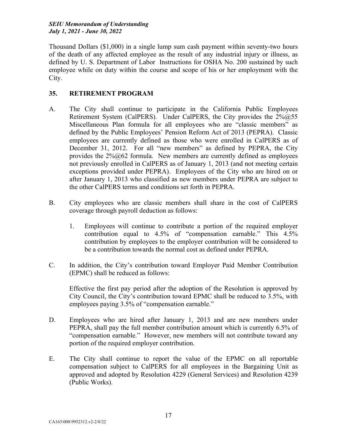Thousand Dollars (\$1,000) in a single lump sum cash payment within seventy-two hours of the death of any affected employee as the result of any industrial injury or illness, as defined by U. S. Department of Labor Instructions for OSHA No. 200 sustained by such employee while on duty within the course and scope of his or her employment with the City.

# **35. RETIREMENT PROGRAM**

- A. The City shall continue to participate in the California Public Employees Retirement System (CalPERS). Under CalPERS, the City provides the  $2\frac{\sqrt{0.055}}{25}$ Miscellaneous Plan formula for all employees who are "classic members" as defined by the Public Employees' Pension Reform Act of 2013 (PEPRA). Classic employees are currently defined as those who were enrolled in CalPERS as of December 31, 2012. For all "new members" as defined by PEPRA, the City provides the  $2\%$  ( $\partial$ 62 formula. New members are currently defined as employees not previously enrolled in CalPERS as of January 1, 2013 (and not meeting certain exceptions provided under PEPRA). Employees of the City who are hired on or after January 1, 2013 who classified as new members under PEPRA are subject to the other CalPERS terms and conditions set forth in PEPRA.
- B. City employees who are classic members shall share in the cost of CalPERS coverage through payroll deduction as follows:
	- 1. Employees will continue to contribute a portion of the required employer contribution equal to 4.5% of "compensation earnable." This 4.5% contribution by employees to the employer contribution will be considered to be a contribution towards the normal cost as defined under PEPRA.
- C. In addition, the City's contribution toward Employer Paid Member Contribution (EPMC) shall be reduced as follows:

 Effective the first pay period after the adoption of the Resolution is approved by City Council, the City's contribution toward EPMC shall be reduced to 3.5%, with employees paying 3.5% of "compensation earnable."

- D. Employees who are hired after January 1, 2013 and are new members under PEPRA, shall pay the full member contribution amount which is currently 6.5% of "compensation earnable." However, new members will not contribute toward any portion of the required employer contribution.
- E. The City shall continue to report the value of the EPMC on all reportable compensation subject to CalPERS for all employees in the Bargaining Unit as approved and adopted by Resolution 4229 (General Services) and Resolution 4239 (Public Works).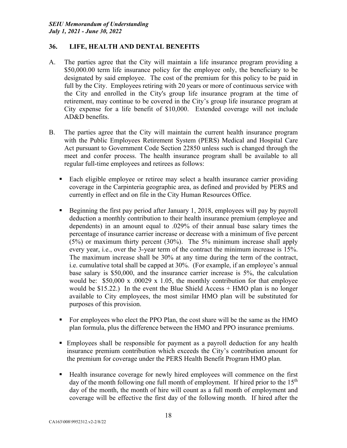### **36. LIFE, HEALTH AND DENTAL BENEFITS**

- A. The parties agree that the City will maintain a life insurance program providing a \$50,000.00 term life insurance policy for the employee only, the beneficiary to be designated by said employee. The cost of the premium for this policy to be paid in full by the City. Employees retiring with 20 years or more of continuous service with the City and enrolled in the City's group life insurance program at the time of retirement, may continue to be covered in the City's group life insurance program at City expense for a life benefit of \$10,000. Extended coverage will not include AD&D benefits.
- B. The parties agree that the City will maintain the current health insurance program with the Public Employees Retirement System (PERS) Medical and Hospital Care Act pursuant to Government Code Section 22850 unless such is changed through the meet and confer process. The health insurance program shall be available to all regular full-time employees and retirees as follows:
	- Each eligible employee or retiree may select a health insurance carrier providing coverage in the Carpinteria geographic area, as defined and provided by PERS and currently in effect and on file in the City Human Resources Office.
	- Beginning the first pay period after January 1, 2018, employees will pay by payroll deduction a monthly contribution to their health insurance premium (employee and dependents) in an amount equal to .029% of their annual base salary times the percentage of insurance carrier increase or decrease with a minimum of five percent (5%) or maximum thirty percent (30%). The 5% minimum increase shall apply every year, i.e., over the 3-year term of the contract the minimum increase is 15%. The maximum increase shall be 30% at any time during the term of the contract, i.e. cumulative total shall be capped at 30%. (For example, if an employee's annual base salary is \$50,000, and the insurance carrier increase is 5%, the calculation would be:  $$50,000 \text{ x}$  .00029 x 1.05, the monthly contribution for that employee would be \$15.22.) In the event the Blue Shield Access + HMO plan is no longer available to City employees, the most similar HMO plan will be substituted for purposes of this provision.
	- For employees who elect the PPO Plan, the cost share will be the same as the HMO plan formula, plus the difference between the HMO and PPO insurance premiums.
	- Employees shall be responsible for payment as a payroll deduction for any health insurance premium contribution which exceeds the City's contribution amount for the premium for coverage under the PERS Health Benefit Program HMO plan.
	- Health insurance coverage for newly hired employees will commence on the first day of the month following one full month of employment. If hired prior to the  $15<sup>th</sup>$ day of the month, the month of hire will count as a full month of employment and coverage will be effective the first day of the following month. If hired after the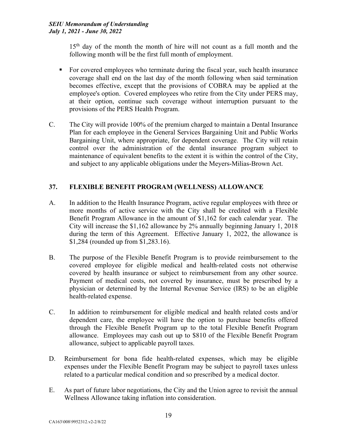15<sup>th</sup> day of the month the month of hire will not count as a full month and the following month will be the first full month of employment.

- For covered employees who terminate during the fiscal year, such health insurance coverage shall end on the last day of the month following when said termination becomes effective, except that the provisions of COBRA may be applied at the employee's option. Covered employees who retire from the City under PERS may, at their option, continue such coverage without interruption pursuant to the provisions of the PERS Health Program.
- C. The City will provide 100% of the premium charged to maintain a Dental Insurance Plan for each employee in the General Services Bargaining Unit and Public Works Bargaining Unit, where appropriate, for dependent coverage. The City will retain control over the administration of the dental insurance program subject to maintenance of equivalent benefits to the extent it is within the control of the City, and subject to any applicable obligations under the Meyers-Milias-Brown Act.

# **37. FLEXIBLE BENEFIT PROGRAM (WELLNESS) ALLOWANCE**

- A. In addition to the Health Insurance Program, active regular employees with three or more months of active service with the City shall be credited with a Flexible Benefit Program Allowance in the amount of \$1,162 for each calendar year. The City will increase the \$1,162 allowance by 2% annually beginning January 1, 2018 during the term of this Agreement. Effective January 1, 2022, the allowance is \$1,284 (rounded up from \$1,283.16).
- B. The purpose of the Flexible Benefit Program is to provide reimbursement to the covered employee for eligible medical and health-related costs not otherwise covered by health insurance or subject to reimbursement from any other source. Payment of medical costs, not covered by insurance, must be prescribed by a physician or determined by the Internal Revenue Service (IRS) to be an eligible health-related expense.
- C. In addition to reimbursement for eligible medical and health related costs and/or dependent care, the employee will have the option to purchase benefits offered through the Flexible Benefit Program up to the total Flexible Benefit Program allowance. Employees may cash out up to \$810 of the Flexible Benefit Program allowance, subject to applicable payroll taxes.
- D. Reimbursement for bona fide health-related expenses, which may be eligible expenses under the Flexible Benefit Program may be subject to payroll taxes unless related to a particular medical condition and so prescribed by a medical doctor.
- E. As part of future labor negotiations, the City and the Union agree to revisit the annual Wellness Allowance taking inflation into consideration.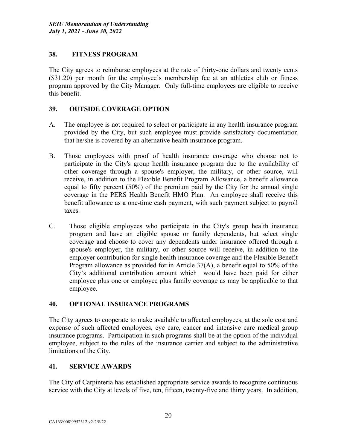### **38. FITNESS PROGRAM**

The City agrees to reimburse employees at the rate of thirty-one dollars and twenty cents (\$31.20) per month for the employee's membership fee at an athletics club or fitness program approved by the City Manager. Only full-time employees are eligible to receive this benefit.

# **39. OUTSIDE COVERAGE OPTION**

- A. The employee is not required to select or participate in any health insurance program provided by the City, but such employee must provide satisfactory documentation that he/she is covered by an alternative health insurance program.
- B. Those employees with proof of health insurance coverage who choose not to participate in the City's group health insurance program due to the availability of other coverage through a spouse's employer, the military, or other source, will receive, in addition to the Flexible Benefit Program Allowance, a benefit allowance equal to fifty percent (50%) of the premium paid by the City for the annual single coverage in the PERS Health Benefit HMO Plan. An employee shall receive this benefit allowance as a one-time cash payment, with such payment subject to payroll taxes.
- C. Those eligible employees who participate in the City's group health insurance program and have an eligible spouse or family dependents, but select single coverage and choose to cover any dependents under insurance offered through a spouse's employer, the military, or other source will receive, in addition to the employer contribution for single health insurance coverage and the Flexible Benefit Program allowance as provided for in Article 37(A), a benefit equal to 50% of the City's additional contribution amount which would have been paid for either employee plus one or employee plus family coverage as may be applicable to that employee.

### **40. OPTIONAL INSURANCE PROGRAMS**

The City agrees to cooperate to make available to affected employees, at the sole cost and expense of such affected employees, eye care, cancer and intensive care medical group insurance programs. Participation in such programs shall be at the option of the individual employee, subject to the rules of the insurance carrier and subject to the administrative limitations of the City.

# **41. SERVICE AWARDS**

The City of Carpinteria has established appropriate service awards to recognize continuous service with the City at levels of five, ten, fifteen, twenty-five and thirty years. In addition,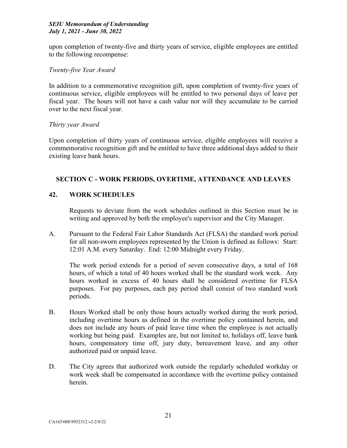upon completion of twenty-five and thirty years of service, eligible employees are entitled to the following recompense:

### *Twenty-five Year Award*

In addition to a commemorative recognition gift, upon completion of twenty-five years of continuous service, eligible employees will be entitled to two personal days of leave per fiscal year. The hours will not have a cash value nor will they accumulate to be carried over to the next fiscal year.

#### *Thirty year Award*

Upon completion of thirty years of continuous service, eligible employees will receive a commemorative recognition gift and be entitled to have three additional days added to their existing leave bank hours.

# **SECTION C - WORK PERIODS, OVERTIME, ATTENDANCE AND LEAVES**

### **42. WORK SCHEDULES**

Requests to deviate from the work schedules outlined in this Section must be in writing and approved by both the employee's supervisor and the City Manager.

A. Pursuant to the Federal Fair Labor Standards Act (FLSA) the standard work period for all non-sworn employees represented by the Union is defined as follows: Start: 12:01 A.M. every Saturday. End: 12:00 Midnight every Friday.

 The work period extends for a period of seven consecutive days, a total of 168 hours, of which a total of 40 hours worked shall be the standard work week. Any hours worked in excess of 40 hours shall be considered overtime for FLSA purposes. For pay purposes, each pay period shall consist of two standard work periods.

- B. Hours Worked shall be only those hours actually worked during the work period, including overtime hours as defined in the overtime policy contained herein, and does not include any hours of paid leave time when the employee is not actually working but being paid. Examples are, but not limited to, holidays off, leave bank hours, compensatory time off, jury duty, bereavement leave, and any other authorized paid or unpaid leave.
- D. The City agrees that authorized work outside the regularly scheduled workday or work week shall be compensated in accordance with the overtime policy contained herein.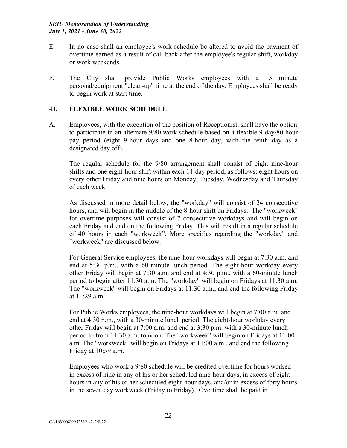- E. In no case shall an employee's work schedule be altered to avoid the payment of overtime earned as a result of call back after the employee's regular shift, workday or work weekends.
- F. The City shall provide Public Works employees with a 15 minute personal/equipment "clean-up" time at the end of the day. Employees shall be ready to begin work at start time.

#### **43. FLEXIBLE WORK SCHEDULE**

A. Employees, with the exception of the position of Receptionist, shall have the option to participate in an alternate 9/80 work schedule based on a flexible 9 day/80 hour pay period (eight 9-hour days and one 8-hour day, with the tenth day as a designated day off).

 The regular schedule for the 9/80 arrangement shall consist of eight nine-hour shifts and one eight-hour shift within each 14-day period, as follows: eight hours on every other Friday and nine hours on Monday, Tuesday, Wednesday and Thursday of each week.

As discussed in more detail below, the "workday" will consist of 24 consecutive hours, and will begin in the middle of the 8-hour shift on Fridays. The "workweek" for overtime purposes will consist of 7 consecutive workdays and will begin on each Friday and end on the following Friday. This will result in a regular schedule of 40 hours in each "workweek". More specifics regarding the "workday" and "workweek" are discussed below.

 For General Service employees, the nine-hour workdays will begin at 7:30 a.m. and end at 5:30 p.m., with a 60-minute lunch period. The eight-hour workday every other Friday will begin at 7:30 a.m. and end at 4:30 p.m., with a 60-minute lunch period to begin after 11:30 a.m. The "workday" will begin on Fridays at 11:30 a.m. The "workweek" will begin on Fridays at 11:30 a.m., and end the following Friday at 11:29 a.m.

For Public Works employees, the nine-hour workdays will begin at 7:00 a.m. and end at 4:30 p.m., with a 30-minute lunch period. The eight-hour workday every other Friday will begin at 7:00 a.m. and end at 3:30 p.m. with a 30-minute lunch period to from 11:30 a.m. to noon. The "workweek" will begin on Fridays at 11:00 a.m. The "workweek" will begin on Fridays at 11:00 a.m., and end the following Friday at 10:59 a.m.

Employees who work a 9/80 schedule will be credited overtime for hours worked in excess of nine in any of his or her scheduled nine-hour days, in excess of eight hours in any of his or her scheduled eight-hour days, and/or in excess of forty hours in the seven day workweek (Friday to Friday). Overtime shall be paid in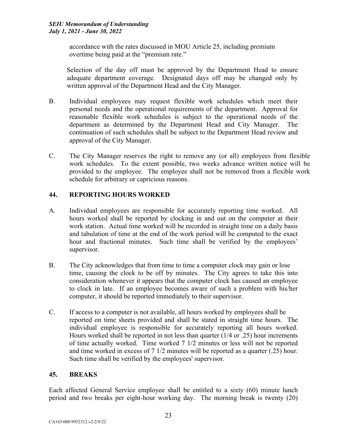accordance with the rates discussed in MOU Article 25, including premium overtime being paid at the "premium rate."

 Selection of the day off must be approved by the Department Head to ensure adequate department coverage. Designated days off may be changed only by written approval of the Department Head and the City Manager.

- B. Individual employees may request flexible work schedules which meet their personal needs and the operational requirements of the department. Approval for reasonable flexible work schedules is subject to the operational needs of the department as determined by the Department Head and City Manager. The continuation of such schedules shall be subject to the Department Head review and approval of the City Manager.
- C. The City Manager reserves the right to remove any (or all) employees from flexible work schedules. To the extent possible, two weeks advance written notice will be provided to the employee. The employee shall not be removed from a flexible work schedule for arbitrary or capricious reasons.

# **44. REPORTING HOURS WORKED**

- A. Individual employees are responsible for accurately reporting time worked. All hours worked shall be reported by clocking in and out on the computer at their work station. Actual time worked will be recorded in straight time on a daily basis and tabulation of time at the end of the work period will be computed to the exact hour and fractional minutes. Such time shall be verified by the employees' supervisor.
- B. The City acknowledges that from time to time a computer clock may gain or lose time, causing the clock to be off by minutes. The City agrees to take this into consideration whenever it appears that the computer clock has caused an employee to clock in late. If an employee becomes aware of such a problem with his/her computer, it should be reported immediately to their supervisor.
- C. If access to a computer is not available, all hours worked by employees shall be reported on time sheets provided and shall be stated in straight time hours. The individual employee is responsible for accurately reporting all hours worked. Hours worked shall be reported in not less than quarter (1/4 or .25) hour increments of time actually worked. Time worked 7 1/2 minutes or less will not be reported and time worked in excess of 7 1/2 minutes will be reported as a quarter (.25) hour. Such time shall be verified by the employees' supervisor.

### **45. BREAKS**

Each affected General Service employee shall be entitled to a sixty (60) minute lunch period and two breaks per eight-hour working day. The morning break is twenty (20)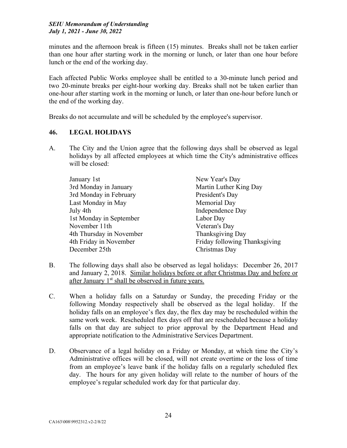minutes and the afternoon break is fifteen (15) minutes. Breaks shall not be taken earlier than one hour after starting work in the morning or lunch, or later than one hour before lunch or the end of the working day.

Each affected Public Works employee shall be entitled to a 30-minute lunch period and two 20-minute breaks per eight-hour working day. Breaks shall not be taken earlier than one-hour after starting work in the morning or lunch, or later than one-hour before lunch or the end of the working day.

Breaks do not accumulate and will be scheduled by the employee's supervisor.

#### **46. LEGAL HOLIDAYS**

A. The City and the Union agree that the following days shall be observed as legal holidays by all affected employees at which time the City's administrative offices will be closed:

| New Year's Day                |
|-------------------------------|
| Martin Luther King Day        |
| President's Day               |
| Memorial Day                  |
| Independence Day              |
| Labor Day                     |
| Veteran's Day                 |
| Thanksgiving Day              |
| Friday following Thanksgiving |
| Christmas Day                 |
|                               |

- B. The following days shall also be observed as legal holidays: December 26, 2017 and January 2, 2018. Similar holidays before or after Christmas Day and before or after January  $1<sup>st</sup>$  shall be observed in future years.
- C. When a holiday falls on a Saturday or Sunday, the preceding Friday or the following Monday respectively shall be observed as the legal holiday. If the holiday falls on an employee's flex day, the flex day may be rescheduled within the same work week. Rescheduled flex days off that are rescheduled because a holiday falls on that day are subject to prior approval by the Department Head and appropriate notification to the Administrative Services Department.
- D. Observance of a legal holiday on a Friday or Monday, at which time the City's Administrative offices will be closed, will not create overtime or the loss of time from an employee's leave bank if the holiday falls on a regularly scheduled flex day. The hours for any given holiday will relate to the number of hours of the employee's regular scheduled work day for that particular day.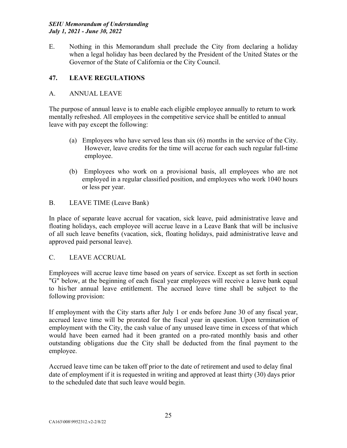E. Nothing in this Memorandum shall preclude the City from declaring a holiday when a legal holiday has been declared by the President of the United States or the Governor of the State of California or the City Council.

# **47. LEAVE REGULATIONS**

## A. ANNUAL LEAVE

The purpose of annual leave is to enable each eligible employee annually to return to work mentally refreshed. All employees in the competitive service shall be entitled to annual leave with pay except the following:

- (a) Employees who have served less than six (6) months in the service of the City. However, leave credits for the time will accrue for each such regular full-time employee.
- (b) Employees who work on a provisional basis, all employees who are not employed in a regular classified position, and employees who work 1040 hours or less per year.

### B. LEAVE TIME (Leave Bank)

In place of separate leave accrual for vacation, sick leave, paid administrative leave and floating holidays, each employee will accrue leave in a Leave Bank that will be inclusive of all such leave benefits (vacation, sick, floating holidays, paid administrative leave and approved paid personal leave).

### C. LEAVE ACCRUAL

Employees will accrue leave time based on years of service. Except as set forth in section "G" below, at the beginning of each fiscal year employees will receive a leave bank equal to his/her annual leave entitlement. The accrued leave time shall be subject to the following provision:

If employment with the City starts after July 1 or ends before June 30 of any fiscal year, accrued leave time will be prorated for the fiscal year in question. Upon termination of employment with the City, the cash value of any unused leave time in excess of that which would have been earned had it been granted on a pro-rated monthly basis and other outstanding obligations due the City shall be deducted from the final payment to the employee.

Accrued leave time can be taken off prior to the date of retirement and used to delay final date of employment if it is requested in writing and approved at least thirty (30) days prior to the scheduled date that such leave would begin.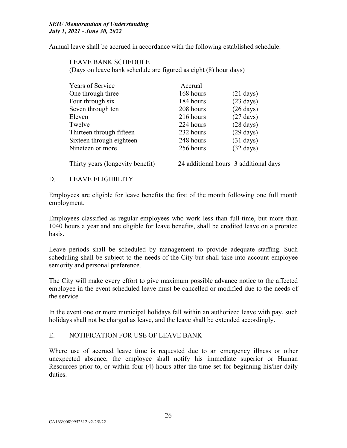Annual leave shall be accrued in accordance with the following established schedule:

 LEAVE BANK SCHEDULE (Days on leave bank schedule are figured as eight (8) hour days)

| Years of Service         | Accrual   |                     |
|--------------------------|-----------|---------------------|
| One through three        | 168 hours | $(21 \text{ days})$ |
| Four through six         | 184 hours | $(23 \text{ days})$ |
| Seven through ten        | 208 hours | $(26 \text{ days})$ |
| Eleven                   | 216 hours | $(27 \text{ days})$ |
| Twelve                   | 224 hours | $(28 \text{ days})$ |
| Thirteen through fifteen | 232 hours | $(29 \text{ days})$ |
| Sixteen through eighteen | 248 hours | $(31 \text{ days})$ |
| Nineteen or more         | 256 hours | $(32 \text{ days})$ |

Thirty years (longevity benefit) 24 additional hours 3 additional days

### D. LEAVE ELIGIBILITY

Employees are eligible for leave benefits the first of the month following one full month employment.

Employees classified as regular employees who work less than full-time, but more than 1040 hours a year and are eligible for leave benefits, shall be credited leave on a prorated basis.

Leave periods shall be scheduled by management to provide adequate staffing. Such scheduling shall be subject to the needs of the City but shall take into account employee seniority and personal preference.

The City will make every effort to give maximum possible advance notice to the affected employee in the event scheduled leave must be cancelled or modified due to the needs of the service.

In the event one or more municipal holidays fall within an authorized leave with pay, such holidays shall not be charged as leave, and the leave shall be extended accordingly.

### E. NOTIFICATION FOR USE OF LEAVE BANK

Where use of accrued leave time is requested due to an emergency illness or other unexpected absence, the employee shall notify his immediate superior or Human Resources prior to, or within four (4) hours after the time set for beginning his/her daily duties.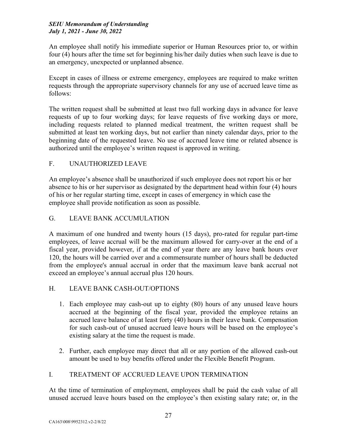An employee shall notify his immediate superior or Human Resources prior to, or within four (4) hours after the time set for beginning his/her daily duties when such leave is due to an emergency, unexpected or unplanned absence.

Except in cases of illness or extreme emergency, employees are required to make written requests through the appropriate supervisory channels for any use of accrued leave time as follows:

The written request shall be submitted at least two full working days in advance for leave requests of up to four working days; for leave requests of five working days or more, including requests related to planned medical treatment, the written request shall be submitted at least ten working days, but not earlier than ninety calendar days, prior to the beginning date of the requested leave. No use of accrued leave time or related absence is authorized until the employee's written request is approved in writing.

# F. UNAUTHORIZED LEAVE

An employee's absence shall be unauthorized if such employee does not report his or her absence to his or her supervisor as designated by the department head within four (4) hours of his or her regular starting time, except in cases of emergency in which case the employee shall provide notification as soon as possible.

### G. LEAVE BANK ACCUMULATION

A maximum of one hundred and twenty hours (15 days), pro-rated for regular part-time employees, of leave accrual will be the maximum allowed for carry-over at the end of a fiscal year, provided however, if at the end of year there are any leave bank hours over 120, the hours will be carried over and a commensurate number of hours shall be deducted from the employee's annual accrual in order that the maximum leave bank accrual not exceed an employee's annual accrual plus 120 hours.

### H. LEAVE BANK CASH-OUT/OPTIONS

- 1. Each employee may cash-out up to eighty (80) hours of any unused leave hours accrued at the beginning of the fiscal year, provided the employee retains an accrued leave balance of at least forty (40) hours in their leave bank. Compensation for such cash-out of unused accrued leave hours will be based on the employee's existing salary at the time the request is made.
- 2. Further, each employee may direct that all or any portion of the allowed cash-out amount be used to buy benefits offered under the Flexible Benefit Program.

### I. TREATMENT OF ACCRUED LEAVE UPON TERMINATION

At the time of termination of employment, employees shall be paid the cash value of all unused accrued leave hours based on the employee's then existing salary rate; or, in the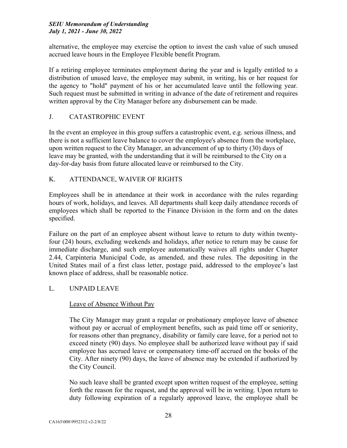alternative, the employee may exercise the option to invest the cash value of such unused accrued leave hours in the Employee Flexible benefit Program.

If a retiring employee terminates employment during the year and is legally entitled to a distribution of unused leave, the employee may submit, in writing, his or her request for the agency to "hold" payment of his or her accumulated leave until the following year. Such request must be submitted in writing in advance of the date of retirement and requires written approval by the City Manager before any disbursement can be made.

# J. CATASTROPHIC EVENT

In the event an employee in this group suffers a catastrophic event, e.g. serious illness, and there is not a sufficient leave balance to cover the employee's absence from the workplace, upon written request to the City Manager, an advancement of up to thirty (30) days of leave may be granted, with the understanding that it will be reimbursed to the City on a day-for-day basis from future allocated leave or reimbursed to the City.

### K. ATTENDANCE, WAIVER OF RIGHTS

Employees shall be in attendance at their work in accordance with the rules regarding hours of work, holidays, and leaves. All departments shall keep daily attendance records of employees which shall be reported to the Finance Division in the form and on the dates specified.

Failure on the part of an employee absent without leave to return to duty within twentyfour (24) hours, excluding weekends and holidays, after notice to return may be cause for immediate discharge, and such employee automatically waives all rights under Chapter 2.44, Carpinteria Municipal Code, as amended, and these rules. The depositing in the United States mail of a first class letter, postage paid, addressed to the employee's last known place of address, shall be reasonable notice.

### L. UNPAID LEAVE

### Leave of Absence Without Pay

The City Manager may grant a regular or probationary employee leave of absence without pay or accrual of employment benefits, such as paid time off or seniority, for reasons other than pregnancy, disability or family care leave, for a period not to exceed ninety (90) days. No employee shall be authorized leave without pay if said employee has accrued leave or compensatory time-off accrued on the books of the City. After ninety (90) days, the leave of absence may be extended if authorized by the City Council.

No such leave shall be granted except upon written request of the employee, setting forth the reason for the request, and the approval will be in writing. Upon return to duty following expiration of a regularly approved leave, the employee shall be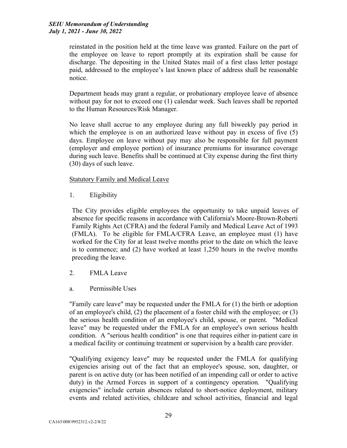reinstated in the position held at the time leave was granted. Failure on the part of the employee on leave to report promptly at its expiration shall be cause for discharge. The depositing in the United States mail of a first class letter postage paid, addressed to the employee's last known place of address shall be reasonable notice.

Department heads may grant a regular, or probationary employee leave of absence without pay for not to exceed one (1) calendar week. Such leaves shall be reported to the Human Resources/Risk Manager.

 No leave shall accrue to any employee during any full biweekly pay period in which the employee is on an authorized leave without pay in excess of five (5) days. Employee on leave without pay may also be responsible for full payment (employer and employee portion) of insurance premiums for insurance coverage during such leave. Benefits shall be continued at City expense during the first thirty (30) days of such leave.

### Statutory Family and Medical Leave

1. Eligibility

 The City provides eligible employees the opportunity to take unpaid leaves of absence for specific reasons in accordance with California's Moore-Brown-Roberti Family Rights Act (CFRA) and the federal Family and Medical Leave Act of 1993 (FMLA). To be eligible for FMLA/CFRA Leave, an employee must (1) have worked for the City for at least twelve months prior to the date on which the leave is to commence; and (2) have worked at least 1,250 hours in the twelve months preceding the leave.

- 2. FMLA Leave
- a. Permissible Uses

"Family care leave" may be requested under the FMLA for (1) the birth or adoption of an employee's child, (2) the placement of a foster child with the employee; or (3) the serious health condition of an employee's child, spouse, or parent. "Medical leave" may be requested under the FMLA for an employee's own serious health condition. A "serious health condition" is one that requires either in-patient care in a medical facility or continuing treatment or supervision by a health care provider.

"Qualifying exigency leave" may be requested under the FMLA for qualifying exigencies arising out of the fact that an employee's spouse, son, daughter, or parent is on active duty (or has been notified of an impending call or order to active duty) in the Armed Forces in support of a contingency operation. "Qualifying exigencies" include certain absences related to short-notice deployment, military events and related activities, childcare and school activities, financial and legal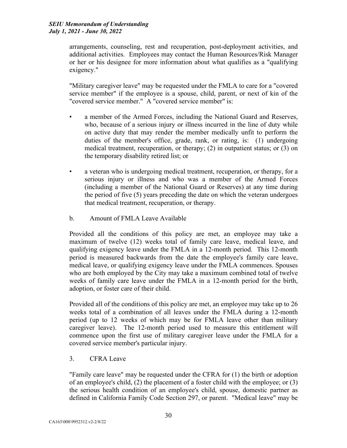arrangements, counseling, rest and recuperation, post-deployment activities, and additional activities. Employees may contact the Human Resources/Risk Manager or her or his designee for more information about what qualifies as a "qualifying exigency."

"Military caregiver leave" may be requested under the FMLA to care for a "covered service member" if the employee is a spouse, child, parent, or next of kin of the "covered service member." A "covered service member" is:

- a member of the Armed Forces, including the National Guard and Reserves, who, because of a serious injury or illness incurred in the line of duty while on active duty that may render the member medically unfit to perform the duties of the member's office, grade, rank, or rating, is: (1) undergoing medical treatment, recuperation, or therapy; (2) in outpatient status; or (3) on the temporary disability retired list; or
- a veteran who is undergoing medical treatment, recuperation, or therapy, for a serious injury or illness and who was a member of the Armed Forces (including a member of the National Guard or Reserves) at any time during the period of five (5) years preceding the date on which the veteran undergoes that medical treatment, recuperation, or therapy.
- b. Amount of FMLA Leave Available

 Provided all the conditions of this policy are met, an employee may take a maximum of twelve (12) weeks total of family care leave, medical leave, and qualifying exigency leave under the FMLA in a 12-month period. This 12-month period is measured backwards from the date the employee's family care leave, medical leave, or qualifying exigency leave under the FMLA commences. Spouses who are both employed by the City may take a maximum combined total of twelve weeks of family care leave under the FMLA in a 12-month period for the birth, adoption, or foster care of their child.

 Provided all of the conditions of this policy are met, an employee may take up to 26 weeks total of a combination of all leaves under the FMLA during a 12-month period (up to 12 weeks of which may be for FMLA leave other than military caregiver leave). The 12-month period used to measure this entitlement will commence upon the first use of military caregiver leave under the FMLA for a covered service member's particular injury.

3. CFRA Leave

 "Family care leave" may be requested under the CFRA for (1) the birth or adoption of an employee's child, (2) the placement of a foster child with the employee; or (3) the serious health condition of an employee's child, spouse, domestic partner as defined in California Family Code Section 297, or parent. "Medical leave" may be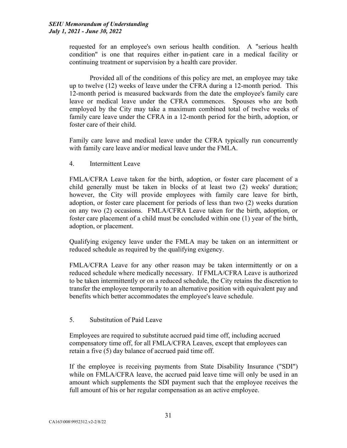requested for an employee's own serious health condition. A "serious health condition" is one that requires either in-patient care in a medical facility or continuing treatment or supervision by a health care provider.

 Provided all of the conditions of this policy are met, an employee may take up to twelve (12) weeks of leave under the CFRA during a 12-month period. This 12-month period is measured backwards from the date the employee's family care leave or medical leave under the CFRA commences. Spouses who are both employed by the City may take a maximum combined total of twelve weeks of family care leave under the CFRA in a 12-month period for the birth, adoption, or foster care of their child.

Family care leave and medical leave under the CFRA typically run concurrently with family care leave and/or medical leave under the FMLA.

4. Intermittent Leave

 FMLA/CFRA Leave taken for the birth, adoption, or foster care placement of a child generally must be taken in blocks of at least two (2) weeks' duration; however, the City will provide employees with family care leave for birth, adoption, or foster care placement for periods of less than two (2) weeks duration on any two (2) occasions. FMLA/CFRA Leave taken for the birth, adoption, or foster care placement of a child must be concluded within one (1) year of the birth, adoption, or placement.

 Qualifying exigency leave under the FMLA may be taken on an intermittent or reduced schedule as required by the qualifying exigency.

FMLA/CFRA Leave for any other reason may be taken intermittently or on a reduced schedule where medically necessary. If FMLA/CFRA Leave is authorized to be taken intermittently or on a reduced schedule, the City retains the discretion to transfer the employee temporarily to an alternative position with equivalent pay and benefits which better accommodates the employee's leave schedule.

5. Substitution of Paid Leave

Employees are required to substitute accrued paid time off, including accrued compensatory time off, for all FMLA/CFRA Leaves, except that employees can retain a five (5) day balance of accrued paid time off.

 If the employee is receiving payments from State Disability Insurance ("SDI") while on FMLA/CFRA leave, the accrued paid leave time will only be used in an amount which supplements the SDI payment such that the employee receives the full amount of his or her regular compensation as an active employee.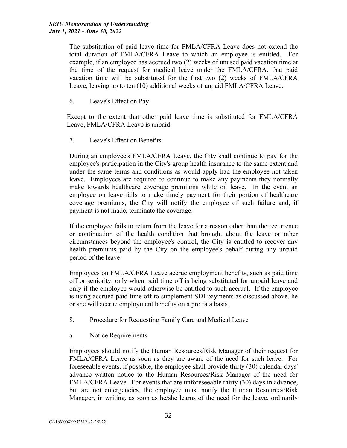The substitution of paid leave time for FMLA/CFRA Leave does not extend the total duration of FMLA/CFRA Leave to which an employee is entitled. For example, if an employee has accrued two (2) weeks of unused paid vacation time at the time of the request for medical leave under the FMLA/CFRA, that paid vacation time will be substituted for the first two (2) weeks of FMLA/CFRA Leave, leaving up to ten (10) additional weeks of unpaid FMLA/CFRA Leave.

6. Leave's Effect on Pay

 Except to the extent that other paid leave time is substituted for FMLA/CFRA Leave, FMLA/CFRA Leave is unpaid.

7. Leave's Effect on Benefits

 During an employee's FMLA/CFRA Leave, the City shall continue to pay for the employee's participation in the City's group health insurance to the same extent and under the same terms and conditions as would apply had the employee not taken leave. Employees are required to continue to make any payments they normally make towards healthcare coverage premiums while on leave. In the event an employee on leave fails to make timely payment for their portion of healthcare coverage premiums, the City will notify the employee of such failure and, if payment is not made, terminate the coverage.

 If the employee fails to return from the leave for a reason other than the recurrence or continuation of the health condition that brought about the leave or other circumstances beyond the employee's control, the City is entitled to recover any health premiums paid by the City on the employee's behalf during any unpaid period of the leave.

 Employees on FMLA/CFRA Leave accrue employment benefits, such as paid time off or seniority, only when paid time off is being substituted for unpaid leave and only if the employee would otherwise be entitled to such accrual. If the employee is using accrued paid time off to supplement SDI payments as discussed above, he or she will accrue employment benefits on a pro rata basis.

- 8. Procedure for Requesting Family Care and Medical Leave
- a. Notice Requirements

 Employees should notify the Human Resources/Risk Manager of their request for FMLA/CFRA Leave as soon as they are aware of the need for such leave. For foreseeable events, if possible, the employee shall provide thirty (30) calendar days' advance written notice to the Human Resources/Risk Manager of the need for FMLA/CFRA Leave. For events that are unforeseeable thirty (30) days in advance, but are not emergencies, the employee must notify the Human Resources/Risk Manager, in writing, as soon as he/she learns of the need for the leave, ordinarily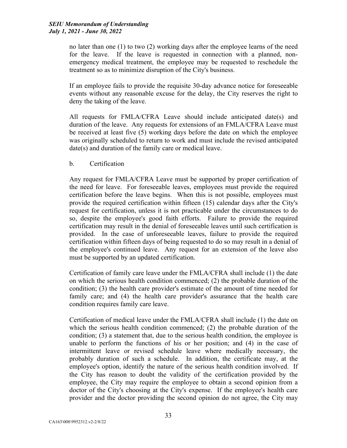no later than one (1) to two (2) working days after the employee learns of the need for the leave. If the leave is requested in connection with a planned, nonemergency medical treatment, the employee may be requested to reschedule the treatment so as to minimize disruption of the City's business.

 If an employee fails to provide the requisite 30-day advance notice for foreseeable events without any reasonable excuse for the delay, the City reserves the right to deny the taking of the leave.

 All requests for FMLA/CFRA Leave should include anticipated date(s) and duration of the leave. Any requests for extensions of an FMLA/CFRA Leave must be received at least five (5) working days before the date on which the employee was originally scheduled to return to work and must include the revised anticipated date(s) and duration of the family care or medical leave.

b. Certification

 Any request for FMLA/CFRA Leave must be supported by proper certification of the need for leave. For foreseeable leaves, employees must provide the required certification before the leave begins. When this is not possible, employees must provide the required certification within fifteen (15) calendar days after the City's request for certification, unless it is not practicable under the circumstances to do so, despite the employee's good faith efforts. Failure to provide the required certification may result in the denial of foreseeable leaves until such certification is provided. In the case of unforeseeable leaves, failure to provide the required certification within fifteen days of being requested to do so may result in a denial of the employee's continued leave. Any request for an extension of the leave also must be supported by an updated certification.

 Certification of family care leave under the FMLA/CFRA shall include (1) the date on which the serious health condition commenced; (2) the probable duration of the condition; (3) the health care provider's estimate of the amount of time needed for family care; and (4) the health care provider's assurance that the health care condition requires family care leave.

 Certification of medical leave under the FMLA/CFRA shall include (1) the date on which the serious health condition commenced; (2) the probable duration of the condition; (3) a statement that, due to the serious health condition, the employee is unable to perform the functions of his or her position; and (4) in the case of intermittent leave or revised schedule leave where medically necessary, the probably duration of such a schedule. In addition, the certificate may, at the employee's option, identify the nature of the serious health condition involved. If the City has reason to doubt the validity of the certification provided by the employee, the City may require the employee to obtain a second opinion from a doctor of the City's choosing at the City's expense. If the employee's health care provider and the doctor providing the second opinion do not agree, the City may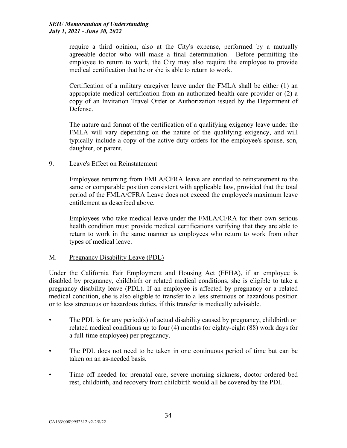require a third opinion, also at the City's expense, performed by a mutually agreeable doctor who will make a final determination. Before permitting the employee to return to work, the City may also require the employee to provide medical certification that he or she is able to return to work.

 Certification of a military caregiver leave under the FMLA shall be either (1) an appropriate medical certification from an authorized health care provider or (2) a copy of an Invitation Travel Order or Authorization issued by the Department of Defense.

 The nature and format of the certification of a qualifying exigency leave under the FMLA will vary depending on the nature of the qualifying exigency, and will typically include a copy of the active duty orders for the employee's spouse, son, daughter, or parent.

9. Leave's Effect on Reinstatement

 Employees returning from FMLA/CFRA leave are entitled to reinstatement to the same or comparable position consistent with applicable law, provided that the total period of the FMLA/CFRA Leave does not exceed the employee's maximum leave entitlement as described above.

 Employees who take medical leave under the FMLA/CFRA for their own serious health condition must provide medical certifications verifying that they are able to return to work in the same manner as employees who return to work from other types of medical leave.

### M. Pregnancy Disability Leave (PDL)

Under the California Fair Employment and Housing Act (FEHA), if an employee is disabled by pregnancy, childbirth or related medical conditions, she is eligible to take a pregnancy disability leave (PDL). If an employee is affected by pregnancy or a related medical condition, she is also eligible to transfer to a less strenuous or hazardous position or to less strenuous or hazardous duties, if this transfer is medically advisable.

- The PDL is for any period(s) of actual disability caused by pregnancy, childbirth or related medical conditions up to four (4) months (or eighty-eight (88) work days for a full-time employee) per pregnancy.
- The PDL does not need to be taken in one continuous period of time but can be taken on an as-needed basis.
- Time off needed for prenatal care, severe morning sickness, doctor ordered bed rest, childbirth, and recovery from childbirth would all be covered by the PDL.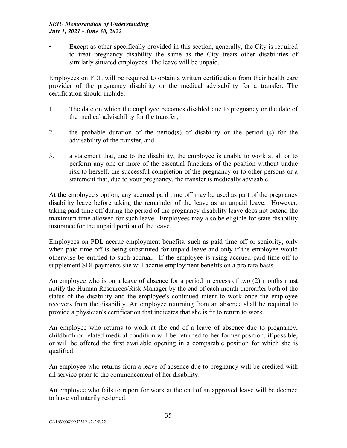Except as other specifically provided in this section, generally, the City is required to treat pregnancy disability the same as the City treats other disabilities of similarly situated employees. The leave will be unpaid.

Employees on PDL will be required to obtain a written certification from their health care provider of the pregnancy disability or the medical advisability for a transfer. The certification should include:

- 1. The date on which the employee becomes disabled due to pregnancy or the date of the medical advisability for the transfer;
- 2. the probable duration of the period(s) of disability or the period (s) for the advisability of the transfer, and
- 3. a statement that, due to the disability, the employee is unable to work at all or to perform any one or more of the essential functions of the position without undue risk to herself, the successful completion of the pregnancy or to other persons or a statement that, due to your pregnancy, the transfer is medically advisable.

At the employee's option, any accrued paid time off may be used as part of the pregnancy disability leave before taking the remainder of the leave as an unpaid leave. However, taking paid time off during the period of the pregnancy disability leave does not extend the maximum time allowed for such leave. Employees may also be eligible for state disability insurance for the unpaid portion of the leave.

Employees on PDL accrue employment benefits, such as paid time off or seniority, only when paid time off is being substituted for unpaid leave and only if the employee would otherwise be entitled to such accrual. If the employee is using accrued paid time off to supplement SDI payments she will accrue employment benefits on a pro rata basis.

An employee who is on a leave of absence for a period in excess of two (2) months must notify the Human Resources/Risk Manager by the end of each month thereafter both of the status of the disability and the employee's continued intent to work once the employee recovers from the disability. An employee returning from an absence shall be required to provide a physician's certification that indicates that she is fit to return to work.

An employee who returns to work at the end of a leave of absence due to pregnancy, childbirth or related medical condition will be returned to her former position, if possible, or will be offered the first available opening in a comparable position for which she is qualified.

An employee who returns from a leave of absence due to pregnancy will be credited with all service prior to the commencement of her disability.

An employee who fails to report for work at the end of an approved leave will be deemed to have voluntarily resigned.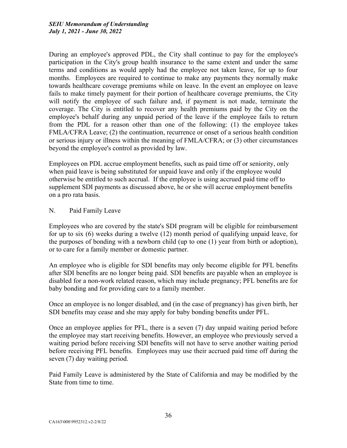During an employee's approved PDL, the City shall continue to pay for the employee's participation in the City's group health insurance to the same extent and under the same terms and conditions as would apply had the employee not taken leave, for up to four months. Employees are required to continue to make any payments they normally make towards healthcare coverage premiums while on leave. In the event an employee on leave fails to make timely payment for their portion of healthcare coverage premiums, the City will notify the employee of such failure and, if payment is not made, terminate the coverage. The City is entitled to recover any health premiums paid by the City on the employee's behalf during any unpaid period of the leave if the employee fails to return from the PDL for a reason other than one of the following: (1) the employee takes FMLA/CFRA Leave; (2) the continuation, recurrence or onset of a serious health condition or serious injury or illness within the meaning of FMLA/CFRA; or (3) other circumstances beyond the employee's control as provided by law.

Employees on PDL accrue employment benefits, such as paid time off or seniority, only when paid leave is being substituted for unpaid leave and only if the employee would otherwise be entitled to such accrual. If the employee is using accrued paid time off to supplement SDI payments as discussed above, he or she will accrue employment benefits on a pro rata basis.

### N. Paid Family Leave

Employees who are covered by the state's SDI program will be eligible for reimbursement for up to six (6) weeks during a twelve (12) month period of qualifying unpaid leave, for the purposes of bonding with a newborn child (up to one (1) year from birth or adoption), or to care for a family member or domestic partner.

An employee who is eligible for SDI benefits may only become eligible for PFL benefits after SDI benefits are no longer being paid. SDI benefits are payable when an employee is disabled for a non-work related reason, which may include pregnancy; PFL benefits are for baby bonding and for providing care to a family member.

Once an employee is no longer disabled, and (in the case of pregnancy) has given birth, her SDI benefits may cease and she may apply for baby bonding benefits under PFL.

Once an employee applies for PFL, there is a seven (7) day unpaid waiting period before the employee may start receiving benefits. However, an employee who previously served a waiting period before receiving SDI benefits will not have to serve another waiting period before receiving PFL benefits. Employees may use their accrued paid time off during the seven (7) day waiting period.

Paid Family Leave is administered by the State of California and may be modified by the State from time to time.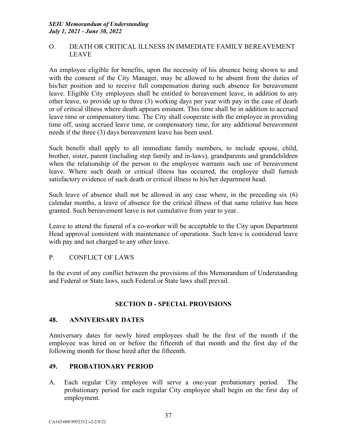## O. DEATH OR CRITICAL ILLNESS IN IMMEDIATE FAMILY BEREAVEMENT LEAVE

An employee eligible for benefits, upon the necessity of his absence being shown to and with the consent of the City Manager, may be allowed to be absent from the duties of his/her position and to receive full compensation during such absence for bereavement leave. Eligible City employees shall be entitled to bereavement leave, in addition to any other leave, to provide up to three (3) working days per year with pay in the case of death or of critical illness where death appears eminent. This time shall be in addition to accrued leave time or compensatory time. The City shall cooperate with the employee in providing time off, using accrued leave time, or compensatory time, for any additional bereavement needs if the three (3) days bereavement leave has been used.

Such benefit shall apply to all immediate family members, to include spouse, child, brother, sister, parent (including step family and in-laws), grandparents and grandchildren when the relationship of the person to the employee warrants such use of bereavement leave. Where such death or critical illness has occurred, the employee shall furnish satisfactory evidence of such death or critical illness to his/her department head.

Such leave of absence shall not be allowed in any case where, in the preceding six (6) calendar months, a leave of absence for the critical illness of that same relative has been granted. Such bereavement leave is not cumulative from year to year.

Leave to attend the funeral of a co-worker will be acceptable to the City upon Department Head approval consistent with maintenance of operations. Such leave is considered leave with pay and not charged to any other leave.

### P. CONFLICT OF LAWS

In the event of any conflict between the provisions of this Memorandum of Understanding and Federal or State laws, such Federal or State laws shall prevail.

### **SECTION D - SPECIAL PROVISIONS**

#### **48. ANNIVERSARY DATES**

Anniversary dates for newly hired employees shall be the first of the month if the employee was hired on or before the fifteenth of that month and the first day of the following month for those hired after the fifteenth.

### **49. PROBATIONARY PERIOD**

A. Each regular City employee will serve a one-year probationary period. The probationary period for each regular City employee shall begin on the first day of employment.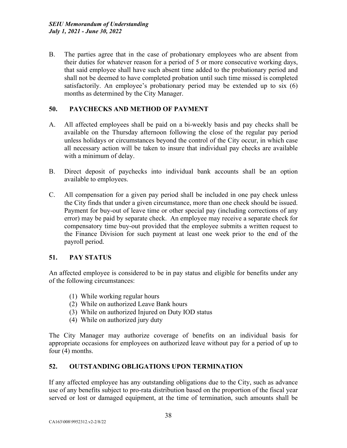B. The parties agree that in the case of probationary employees who are absent from their duties for whatever reason for a period of 5 or more consecutive working days, that said employee shall have such absent time added to the probationary period and shall not be deemed to have completed probation until such time missed is completed satisfactorily. An employee's probationary period may be extended up to six (6) months as determined by the City Manager.

# **50. PAYCHECKS AND METHOD OF PAYMENT**

- A. All affected employees shall be paid on a bi-weekly basis and pay checks shall be available on the Thursday afternoon following the close of the regular pay period unless holidays or circumstances beyond the control of the City occur, in which case all necessary action will be taken to insure that individual pay checks are available with a minimum of delay.
- B. Direct deposit of paychecks into individual bank accounts shall be an option available to employees.
- C. All compensation for a given pay period shall be included in one pay check unless the City finds that under a given circumstance, more than one check should be issued. Payment for buy-out of leave time or other special pay (including corrections of any error) may be paid by separate check. An employee may receive a separate check for compensatory time buy-out provided that the employee submits a written request to the Finance Division for such payment at least one week prior to the end of the payroll period.

### **51. PAY STATUS**

An affected employee is considered to be in pay status and eligible for benefits under any of the following circumstances:

- (1) While working regular hours
- (2) While on authorized Leave Bank hours
- (3) While on authorized Injured on Duty IOD status
- (4) While on authorized jury duty

The City Manager may authorize coverage of benefits on an individual basis for appropriate occasions for employees on authorized leave without pay for a period of up to four (4) months.

### **52. OUTSTANDING OBLIGATIONS UPON TERMINATION**

If any affected employee has any outstanding obligations due to the City, such as advance use of any benefits subject to pro-rata distribution based on the proportion of the fiscal year served or lost or damaged equipment, at the time of termination, such amounts shall be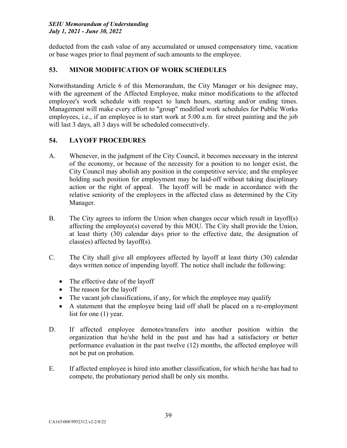deducted from the cash value of any accumulated or unused compensatory time, vacation or base wages prior to final payment of such amounts to the employee.

# **53. MINOR MODIFICATION OF WORK SCHEDULES**

Notwithstanding Article 6 of this Memorandum, the City Manager or his designee may, with the agreement of the Affected Employee, make minor modifications to the affected employee's work schedule with respect to lunch hours, starting and/or ending times. Management will make every effort to "group" modified work schedules for Public Works employees, i.e., if an employee is to start work at 5:00 a.m. for street painting and the job will last 3 days, all 3 days will be scheduled consecutively.

# **54. LAYOFF PROCEDURES**

- A. Whenever, in the judgment of the City Council, it becomes necessary in the interest of the economy, or because of the necessity for a position to no longer exist, the City Council may abolish any position in the competitive service; and the employee holding such position for employment may be laid-off without taking disciplinary action or the right of appeal. The layoff will be made in accordance with the relative seniority of the employees in the affected class as determined by the City Manager.
- B. The City agrees to inform the Union when changes occur which result in layoff(s) affecting the employee(s) covered by this MOU. The City shall provide the Union, at least thirty (30) calendar days prior to the effective date, the designation of class(es) affected by layoff(s).
- C. The City shall give all employees affected by layoff at least thirty (30) calendar days written notice of impending layoff. The notice shall include the following:
	- The effective date of the layoff
	- The reason for the layoff
	- The vacant job classifications, if any, for which the employee may qualify
	- A statement that the employee being laid off shall be placed on a re-employment list for one (1) year.
- D. If affected employee demotes/transfers into another position within the organization that he/she held in the past and has had a satisfactory or better performance evaluation in the past twelve (12) months, the affected employee will not be put on probation.
- E. If affected employee is hired into another classification, for which he/she has had to compete, the probationary period shall be only six months.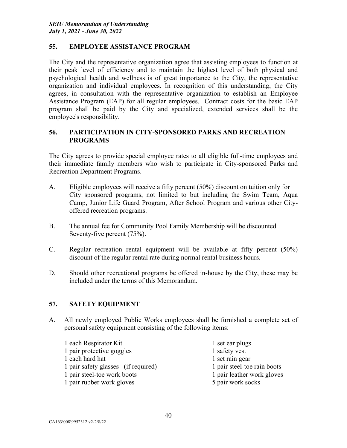### **55. EMPLOYEE ASSISTANCE PROGRAM**

The City and the representative organization agree that assisting employees to function at their peak level of efficiency and to maintain the highest level of both physical and psychological health and wellness is of great importance to the City, the representative organization and individual employees. In recognition of this understanding, the City agrees, in consultation with the representative organization to establish an Employee Assistance Program (EAP) for all regular employees. Contract costs for the basic EAP program shall be paid by the City and specialized, extended services shall be the employee's responsibility.

# **56. PARTICIPATION IN CITY-SPONSORED PARKS AND RECREATION PROGRAMS**

The City agrees to provide special employee rates to all eligible full-time employees and their immediate family members who wish to participate in City-sponsored Parks and Recreation Department Programs.

- A. Eligible employees will receive a fifty percent (50%) discount on tuition only for City sponsored programs, not limited to but including the Swim Team, Aqua Camp, Junior Life Guard Program, After School Program and various other Cityoffered recreation programs.
- B. The annual fee for Community Pool Family Membership will be discounted Seventy-five percent (75%).
- C. Regular recreation rental equipment will be available at fifty percent (50%) discount of the regular rental rate during normal rental business hours.
- D. Should other recreational programs be offered in-house by the City, these may be included under the terms of this Memorandum.

### **57. SAFETY EQUIPMENT**

A. All newly employed Public Works employees shall be furnished a complete set of personal safety equipment consisting of the following items:

| 1 each Respirator Kit               | 1 set ear plugs             |  |
|-------------------------------------|-----------------------------|--|
| 1 pair protective goggles           | 1 safety vest               |  |
| 1 each hard hat                     | 1 set rain gear             |  |
| 1 pair safety glasses (if required) | 1 pair steel-toe rain boots |  |
| 1 pair steel-toe work boots         | 1 pair leather work gloves  |  |
| 1 pair rubber work gloves           | 5 pair work socks           |  |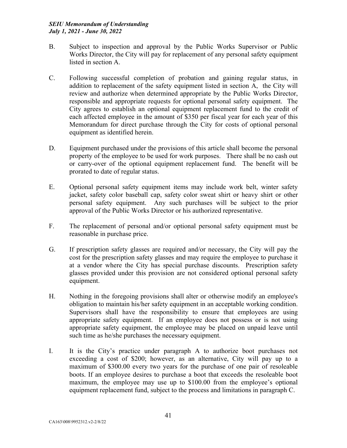### *SEIU Memorandum of Understanding July 1, 2021 - June 30, 2022*

- B. Subject to inspection and approval by the Public Works Supervisor or Public Works Director, the City will pay for replacement of any personal safety equipment listed in section A.
- C. Following successful completion of probation and gaining regular status, in addition to replacement of the safety equipment listed in section A, the City will review and authorize when determined appropriate by the Public Works Director, responsible and appropriate requests for optional personal safety equipment. The City agrees to establish an optional equipment replacement fund to the credit of each affected employee in the amount of \$350 per fiscal year for each year of this Memorandum for direct purchase through the City for costs of optional personal equipment as identified herein.
- D. Equipment purchased under the provisions of this article shall become the personal property of the employee to be used for work purposes. There shall be no cash out or carry-over of the optional equipment replacement fund. The benefit will be prorated to date of regular status.
- E. Optional personal safety equipment items may include work belt, winter safety jacket, safety color baseball cap, safety color sweat shirt or heavy shirt or other personal safety equipment. Any such purchases will be subject to the prior approval of the Public Works Director or his authorized representative.
- F. The replacement of personal and/or optional personal safety equipment must be reasonable in purchase price.
- G. If prescription safety glasses are required and/or necessary, the City will pay the cost for the prescription safety glasses and may require the employee to purchase it at a vendor where the City has special purchase discounts. Prescription safety glasses provided under this provision are not considered optional personal safety equipment.
- H. Nothing in the foregoing provisions shall alter or otherwise modify an employee's obligation to maintain his/her safety equipment in an acceptable working condition. Supervisors shall have the responsibility to ensure that employees are using appropriate safety equipment. If an employee does not possess or is not using appropriate safety equipment, the employee may be placed on unpaid leave until such time as he/she purchases the necessary equipment.
- I. It is the City's practice under paragraph A to authorize boot purchases not exceeding a cost of \$200; however, as an alternative, City will pay up to a maximum of \$300.00 every two years for the purchase of one pair of resoleable boots. If an employee desires to purchase a boot that exceeds the resoleable boot maximum, the employee may use up to \$100.00 from the employee's optional equipment replacement fund, subject to the process and limitations in paragraph C.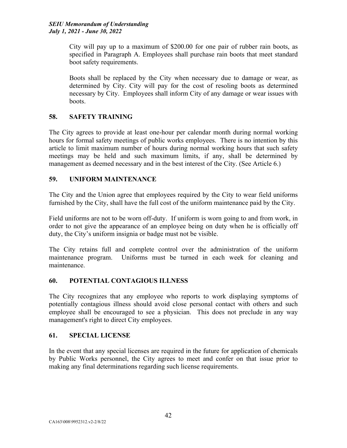City will pay up to a maximum of \$200.00 for one pair of rubber rain boots, as specified in Paragraph A. Employees shall purchase rain boots that meet standard boot safety requirements.

Boots shall be replaced by the City when necessary due to damage or wear, as determined by City. City will pay for the cost of resoling boots as determined necessary by City. Employees shall inform City of any damage or wear issues with boots.

# **58. SAFETY TRAINING**

The City agrees to provide at least one-hour per calendar month during normal working hours for formal safety meetings of public works employees. There is no intention by this article to limit maximum number of hours during normal working hours that such safety meetings may be held and such maximum limits, if any, shall be determined by management as deemed necessary and in the best interest of the City. (See Article 6.)

# **59. UNIFORM MAINTENANCE**

The City and the Union agree that employees required by the City to wear field uniforms furnished by the City, shall have the full cost of the uniform maintenance paid by the City.

Field uniforms are not to be worn off-duty. If uniform is worn going to and from work, in order to not give the appearance of an employee being on duty when he is officially off duty, the City's uniform insignia or badge must not be visible.

The City retains full and complete control over the administration of the uniform maintenance program. Uniforms must be turned in each week for cleaning and maintenance.

### **60. POTENTIAL CONTAGIOUS ILLNESS**

The City recognizes that any employee who reports to work displaying symptoms of potentially contagious illness should avoid close personal contact with others and such employee shall be encouraged to see a physician. This does not preclude in any way management's right to direct City employees.

### **61. SPECIAL LICENSE**

In the event that any special licenses are required in the future for application of chemicals by Public Works personnel, the City agrees to meet and confer on that issue prior to making any final determinations regarding such license requirements.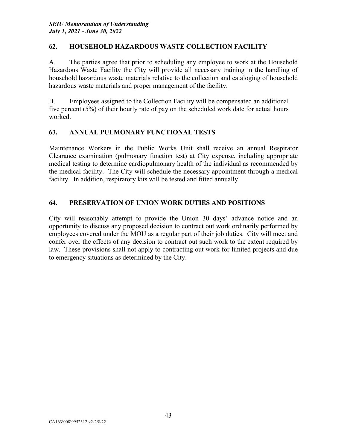# **62. HOUSEHOLD HAZARDOUS WASTE COLLECTION FACILITY**

A. The parties agree that prior to scheduling any employee to work at the Household Hazardous Waste Facility the City will provide all necessary training in the handling of household hazardous waste materials relative to the collection and cataloging of household hazardous waste materials and proper management of the facility.

B. Employees assigned to the Collection Facility will be compensated an additional five percent (5%) of their hourly rate of pay on the scheduled work date for actual hours worked.

# **63. ANNUAL PULMONARY FUNCTIONAL TESTS**

Maintenance Workers in the Public Works Unit shall receive an annual Respirator Clearance examination (pulmonary function test) at City expense, including appropriate medical testing to determine cardiopulmonary health of the individual as recommended by the medical facility. The City will schedule the necessary appointment through a medical facility. In addition, respiratory kits will be tested and fitted annually.

# **64. PRESERVATION OF UNION WORK DUTIES AND POSITIONS**

City will reasonably attempt to provide the Union 30 days' advance notice and an opportunity to discuss any proposed decision to contract out work ordinarily performed by employees covered under the MOU as a regular part of their job duties. City will meet and confer over the effects of any decision to contract out such work to the extent required by law. These provisions shall not apply to contracting out work for limited projects and due to emergency situations as determined by the City.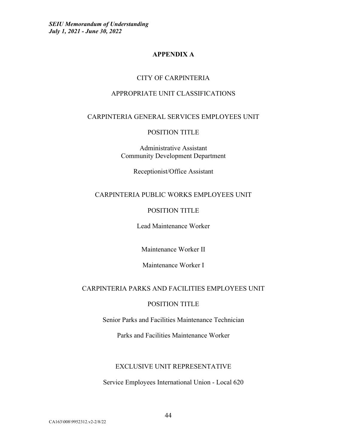### **APPENDIX A**

### CITY OF CARPINTERIA

# APPROPRIATE UNIT CLASSIFICATIONS

### CARPINTERIA GENERAL SERVICES EMPLOYEES UNIT

### POSITION TITLE

Administrative Assistant Community Development Department

Receptionist/Office Assistant

### CARPINTERIA PUBLIC WORKS EMPLOYEES UNIT

### POSITION TITLE

Lead Maintenance Worker

Maintenance Worker II

Maintenance Worker I

### CARPINTERIA PARKS AND FACILITIES EMPLOYEES UNIT

### POSITION TITLE

Senior Parks and Facilities Maintenance Technician

Parks and Facilities Maintenance Worker

#### EXCLUSIVE UNIT REPRESENTATIVE

Service Employees International Union - Local 620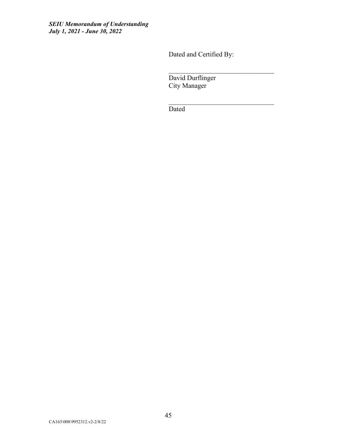*SEIU Memorandum of Understanding July 1, 2021 - June 30, 2022* 

Dated and Certified By:

 David Durflinger City Manager

Dated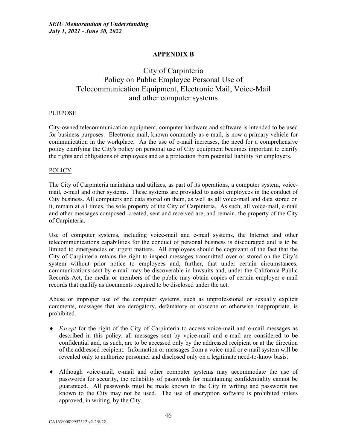### **APPENDIX B**

# City of Carpinteria Policy on Public Employee Personal Use of Telecommunication Equipment, Electronic Mail, Voice-Mail and other computer systems

#### PURPOSE

City-owned telecommunication equipment, computer hardware and software is intended to be used for business purposes. Electronic mail, known commonly as e-mail, is now a primary vehicle for communication in the workplace. As the use of e-mail increases, the need for a comprehensive policy clarifying the City's policy on personal use of City equipment becomes important to clarify the rights and obligations of employees and as a protection from potential liability for employers.

#### **POLICY**

The City of Carpinteria maintains and utilizes, as part of its operations, a computer system, voicemail, e-mail and other systems. These systems are provided to assist employees in the conduct of City business. All computers and data stored on them, as well as all voice-mail and data stored on it, remain at all times, the sole property of the City of Carpinteria. As such, all voice-mail, e-mail and other messages composed, created, sent and received are, and remain, the property of the City of Carpinteria.

Use of computer systems, including voice-mail and e-mail systems, the Internet and other telecommunications capabilities for the conduct of personal business is discouraged and is to be limited to emergencies or urgent matters. All employees should be cognizant of the fact that the City of Carpinteria retains the right to inspect messages transmitted over or stored on the City's system without prior notice to employees and, further, that under certain circumstances, communications sent by e-mail may be discoverable in lawsuits and, under the California Public Records Act, the media or members of the public may obtain copies of certain employer e-mail records that qualify as documents required to be disclosed under the act.

Abuse or improper use of the computer systems, such as unprofessional or sexually explicit comments, messages that are derogatory, defamatory or obscene or otherwise inappropriate, is prohibited.

- *Except* for the right of the City of Carpinteria to access voice-mail and e-mail messages as described in this policy, all messages sent by voice-mail and e-mail are considered to be confidential and, as such, are to be accessed only by the addressed recipient or at the direction of the addressed recipient. Information or messages from a voice-mail or e-mail system will be revealed only to authorize personnel and disclosed only on a legitimate need-to-know basis.
- Although voice-mail, e-mail and other computer systems may accommodate the use of passwords for security, the reliability of passwords for maintaining confidentiality cannot be guaranteed. All passwords must be made known to the City in writing and passwords not known to the City may not be used. The use of encryption software is prohibited unless approved, in writing, by the City.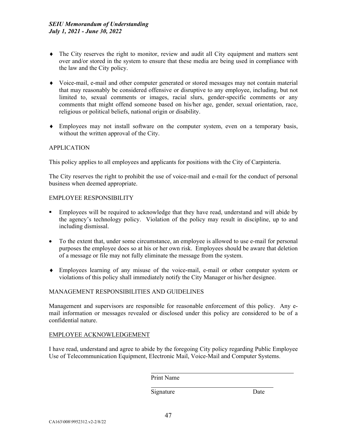- The City reserves the right to monitor, review and audit all City equipment and matters sent over and/or stored in the system to ensure that these media are being used in compliance with the law and the City policy.
- Voice-mail, e-mail and other computer generated or stored messages may not contain material that may reasonably be considered offensive or disruptive to any employee, including, but not limited to, sexual comments or images, racial slurs, gender-specific comments or any comments that might offend someone based on his/her age, gender, sexual orientation, race, religious or political beliefs, national origin or disability.
- Employees may not install software on the computer system, even on a temporary basis, without the written approval of the City.

#### APPLICATION

This policy applies to all employees and applicants for positions with the City of Carpinteria.

The City reserves the right to prohibit the use of voice-mail and e-mail for the conduct of personal business when deemed appropriate.

#### EMPLOYEE RESPONSIBILITY

- Employees will be required to acknowledge that they have read, understand and will abide by the agency's technology policy. Violation of the policy may result in discipline, up to and including dismissal.
- To the extent that, under some circumstance, an employee is allowed to use e-mail for personal purposes the employee does so at his or her own risk. Employees should be aware that deletion of a message or file may not fully eliminate the message from the system.
- Employees learning of any misuse of the voice-mail, e-mail or other computer system or violations of this policy shall immediately notify the City Manager or his/her designee.

#### MANAGEMENT RESPONSIBILITIES AND GUIDELINES

Management and supervisors are responsible for reasonable enforcement of this policy. Any email information or messages revealed or disclosed under this policy are considered to be of a confidential nature.

#### EMPLOYEE ACKNOWLEDGEMENT

I have read, understand and agree to abide by the foregoing City policy regarding Public Employee Use of Telecommunication Equipment, Electronic Mail, Voice-Mail and Computer Systems.

Print Name

Signature Date

l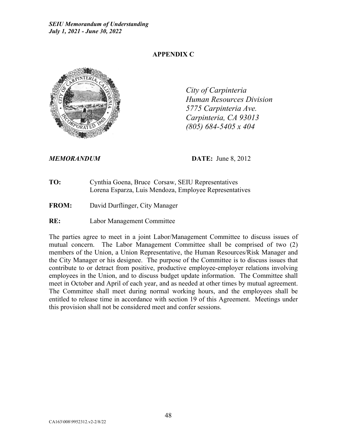# **APPENDIX C**



*City of Carpinteria Human Resources Division 5775 Carpinteria Ave. Carpinteria, CA 93013 (805) 684-5405 x 404*

*MEMORANDUM* **DATE:** June 8, 2012

- **TO:** Cynthia Goena, Bruce Corsaw, SEIU Representatives Lorena Esparza, Luis Mendoza, Employee Representatives
- **FROM:** David Durflinger, City Manager
- **RE:** Labor Management Committee

The parties agree to meet in a joint Labor/Management Committee to discuss issues of mutual concern. The Labor Management Committee shall be comprised of two (2) members of the Union, a Union Representative, the Human Resources/Risk Manager and the City Manager or his designee. The purpose of the Committee is to discuss issues that contribute to or detract from positive, productive employee-employer relations involving employees in the Union, and to discuss budget update information. The Committee shall meet in October and April of each year, and as needed at other times by mutual agreement. The Committee shall meet during normal working hours, and the employees shall be entitled to release time in accordance with section 19 of this Agreement. Meetings under this provision shall not be considered meet and confer sessions.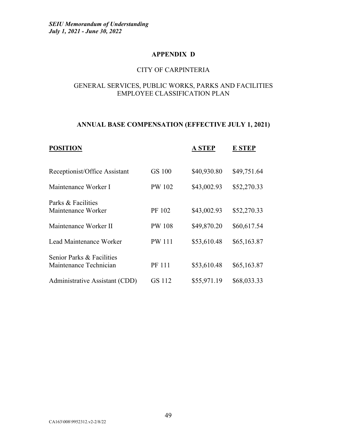### **APPENDIX D**

# CITY OF CARPINTERIA

# GENERAL SERVICES, PUBLIC WORKS, PARKS AND FACILITIES EMPLOYEE CLASSIFICATION PLAN

# **ANNUAL BASE COMPENSATION (EFFECTIVE JULY 1, 2021)**

| <b>POSITION</b>                                     |               | <b>A STEP</b> | <b>E STEP</b> |
|-----------------------------------------------------|---------------|---------------|---------------|
| Receptionist/Office Assistant                       | GS 100        | \$40,930.80   | \$49,751.64   |
| Maintenance Worker I                                | <b>PW 102</b> | \$43,002.93   | \$52,270.33   |
| Parks & Facilities<br>Maintenance Worker            | PF 102        | \$43,002.93   | \$52,270.33   |
| Maintenance Worker II                               | <b>PW 108</b> | \$49,870.20   | \$60,617.54   |
| Lead Maintenance Worker                             | <b>PW 111</b> | \$53,610.48   | \$65,163.87   |
| Senior Parks & Facilities<br>Maintenance Technician | PF 111        | \$53,610.48   | \$65,163.87   |
| Administrative Assistant (CDD)                      | GS 112        | \$55,971.19   | \$68,033.33   |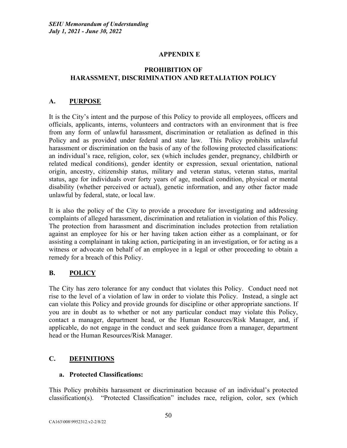# **APPENDIX E**

# **PROHIBITION OF HARASSMENT, DISCRIMINATION AND RETALIATION POLICY**

# **A. PURPOSE**

It is the City's intent and the purpose of this Policy to provide all employees, officers and officials, applicants, interns, volunteers and contractors with an environment that is free from any form of unlawful harassment, discrimination or retaliation as defined in this Policy and as provided under federal and state law. This Policy prohibits unlawful harassment or discrimination on the basis of any of the following protected classifications: an individual's race, religion, color, sex (which includes gender, pregnancy, childbirth or related medical conditions), gender identity or expression, sexual orientation, national origin, ancestry, citizenship status, military and veteran status, veteran status, marital status, age for individuals over forty years of age, medical condition, physical or mental disability (whether perceived or actual), genetic information, and any other factor made unlawful by federal, state, or local law.

It is also the policy of the City to provide a procedure for investigating and addressing complaints of alleged harassment, discrimination and retaliation in violation of this Policy. The protection from harassment and discrimination includes protection from retaliation against an employee for his or her having taken action either as a complainant, or for assisting a complainant in taking action, participating in an investigation, or for acting as a witness or advocate on behalf of an employee in a legal or other proceeding to obtain a remedy for a breach of this Policy.

# **B. POLICY**

The City has zero tolerance for any conduct that violates this Policy. Conduct need not rise to the level of a violation of law in order to violate this Policy. Instead, a single act can violate this Policy and provide grounds for discipline or other appropriate sanctions. If you are in doubt as to whether or not any particular conduct may violate this Policy, contact a manager, department head, or the Human Resources/Risk Manager, and, if applicable, do not engage in the conduct and seek guidance from a manager, department head or the Human Resources/Risk Manager.

# **C. DEFINITIONS**

### **a. Protected Classifications:**

This Policy prohibits harassment or discrimination because of an individual's protected classification(s). "Protected Classification" includes race, religion, color, sex (which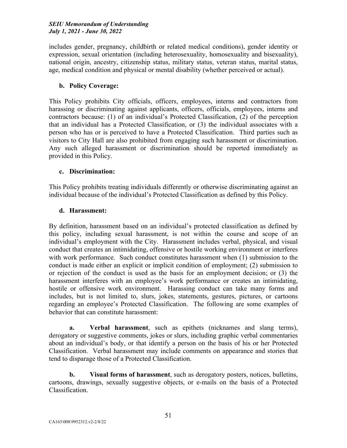### *SEIU Memorandum of Understanding July 1, 2021 - June 30, 2022*

includes gender, pregnancy, childbirth or related medical conditions), gender identity or expression, sexual orientation (including heterosexuality, homosexuality and bisexuality), national origin, ancestry, citizenship status, military status, veteran status, marital status, age, medical condition and physical or mental disability (whether perceived or actual).

# **b. Policy Coverage:**

This Policy prohibits City officials, officers, employees, interns and contractors from harassing or discriminating against applicants, officers, officials, employees, interns and contractors because: (1) of an individual's Protected Classification, (2) of the perception that an individual has a Protected Classification, or (3) the individual associates with a person who has or is perceived to have a Protected Classification. Third parties such as visitors to City Hall are also prohibited from engaging such harassment or discrimination. Any such alleged harassment or discrimination should be reported immediately as provided in this Policy.

### **c. Discrimination:**

This Policy prohibits treating individuals differently or otherwise discriminating against an individual because of the individual's Protected Classification as defined by this Policy.

### **d. Harassment:**

By definition, harassment based on an individual's protected classification as defined by this policy, including sexual harassment, is not within the course and scope of an individual's employment with the City. Harassment includes verbal, physical, and visual conduct that creates an intimidating, offensive or hostile working environment or interferes with work performance. Such conduct constitutes harassment when (1) submission to the conduct is made either an explicit or implicit condition of employment; (2) submission to or rejection of the conduct is used as the basis for an employment decision; or (3) the harassment interferes with an employee's work performance or creates an intimidating, hostile or offensive work environment. Harassing conduct can take many forms and includes, but is not limited to, slurs, jokes, statements, gestures, pictures, or cartoons regarding an employee's Protected Classification. The following are some examples of behavior that can constitute harassment:

**a. Verbal harassment**, such as epithets (nicknames and slang terms), derogatory or suggestive comments, jokes or slurs, including graphic verbal commentaries about an individual's body, or that identify a person on the basis of his or her Protected Classification. Verbal harassment may include comments on appearance and stories that tend to disparage those of a Protected Classification.

**b. Visual forms of harassment**, such as derogatory posters, notices, bulletins, cartoons, drawings, sexually suggestive objects, or e-mails on the basis of a Protected Classification.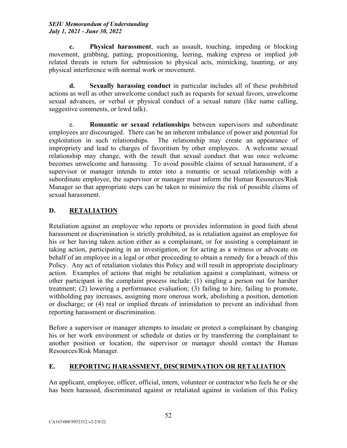**c. Physical harassment**, such as assault, touching, impeding or blocking movement, grabbing, patting, propositioning, leering, making express or implied job related threats in return for submission to physical acts, mimicking, taunting, or any physical interference with normal work or movement.

**d. Sexually harassing conduct** in particular includes all of these prohibited actions as well as other unwelcome conduct such as requests for sexual favors, unwelcome sexual advances, or verbal or physical conduct of a sexual nature (like name calling, suggestive comments, or lewd talk).

e. **Romantic or sexual relationships** between supervisors and subordinate employees are discouraged. There can be an inherent imbalance of power and potential for exploitation in such relationships. The relationship may create an appearance of impropriety and lead to charges of favoritism by other employees. A welcome sexual relationship may change, with the result that sexual conduct that was once welcome becomes unwelcome and harassing. To avoid possible claims of sexual harassment, if a supervisor or manager intends to enter into a romantic or sexual relationship with a subordinate employee, the supervisor or manager must inform the Human Resources/Risk Manager so that appropriate steps can be taken to minimize the risk of possible claims of sexual harassment.

# **D. RETALIATION**

Retaliation against an employee who reports or provides information in good faith about harassment or discrimination is strictly prohibited, as is retaliation against an employee for his or her having taken action either as a complainant, or for assisting a complainant in taking action, participating in an investigation, or for acting as a witness or advocate on behalf of an employee in a legal or other proceeding to obtain a remedy for a breach of this Policy. Any act of retaliation violates this Policy and will result in appropriate disciplinary action. Examples of actions that might be retaliation against a complainant, witness or other participant in the complaint process include: (1) singling a person out for harsher treatment; (2) lowering a performance evaluation; (3) failing to hire, failing to promote, withholding pay increases, assigning more onerous work, abolishing a position, demotion or discharge; or (4) real or implied threats of intimidation to prevent an individual from reporting harassment or discrimination.

Before a supervisor or manager attempts to insulate or protect a complainant by changing his or her work environment or schedule or duties or by transferring the complainant to another position or location, the supervisor or manager should contact the Human Resources/Risk Manager.

# **E. REPORTING HARASSMENT, DISCRIMINATION OR RETALIATION**

An applicant, employee, officer, official, intern, volunteer or contractor who feels he or she has been harassed, discriminated against or retaliated against in violation of this Policy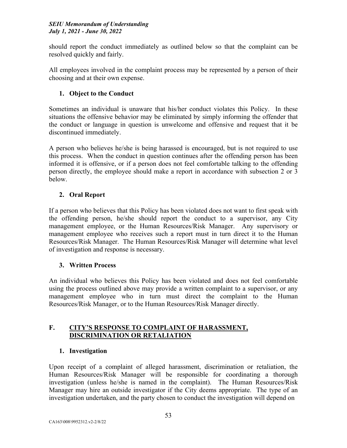### *SEIU Memorandum of Understanding July 1, 2021 - June 30, 2022*

should report the conduct immediately as outlined below so that the complaint can be resolved quickly and fairly.

All employees involved in the complaint process may be represented by a person of their choosing and at their own expense.

# **1. Object to the Conduct**

Sometimes an individual is unaware that his/her conduct violates this Policy. In these situations the offensive behavior may be eliminated by simply informing the offender that the conduct or language in question is unwelcome and offensive and request that it be discontinued immediately.

A person who believes he/she is being harassed is encouraged, but is not required to use this process. When the conduct in question continues after the offending person has been informed it is offensive, or if a person does not feel comfortable talking to the offending person directly, the employee should make a report in accordance with subsection 2 or 3 below.

# **2. Oral Report**

If a person who believes that this Policy has been violated does not want to first speak with the offending person, he/she should report the conduct to a supervisor, any City management employee, or the Human Resources/Risk Manager. Any supervisory or management employee who receives such a report must in turn direct it to the Human Resources/Risk Manager. The Human Resources/Risk Manager will determine what level of investigation and response is necessary.

# **3. Written Process**

An individual who believes this Policy has been violated and does not feel comfortable using the process outlined above may provide a written complaint to a supervisor, or any management employee who in turn must direct the complaint to the Human Resources/Risk Manager, or to the Human Resources/Risk Manager directly.

# **F. CITY'S RESPONSE TO COMPLAINT OF HARASSMENT, DISCRIMINATION OR RETALIATION**

# **1. Investigation**

Upon receipt of a complaint of alleged harassment, discrimination or retaliation, the Human Resources/Risk Manager will be responsible for coordinating a thorough investigation (unless he/she is named in the complaint). The Human Resources/Risk Manager may hire an outside investigator if the City deems appropriate. The type of an investigation undertaken, and the party chosen to conduct the investigation will depend on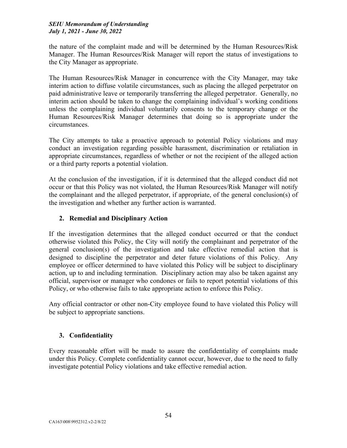### *SEIU Memorandum of Understanding July 1, 2021 - June 30, 2022*

the nature of the complaint made and will be determined by the Human Resources/Risk Manager. The Human Resources/Risk Manager will report the status of investigations to the City Manager as appropriate.

The Human Resources/Risk Manager in concurrence with the City Manager, may take interim action to diffuse volatile circumstances, such as placing the alleged perpetrator on paid administrative leave or temporarily transferring the alleged perpetrator. Generally, no interim action should be taken to change the complaining individual's working conditions unless the complaining individual voluntarily consents to the temporary change or the Human Resources/Risk Manager determines that doing so is appropriate under the circumstances.

The City attempts to take a proactive approach to potential Policy violations and may conduct an investigation regarding possible harassment, discrimination or retaliation in appropriate circumstances, regardless of whether or not the recipient of the alleged action or a third party reports a potential violation.

At the conclusion of the investigation, if it is determined that the alleged conduct did not occur or that this Policy was not violated, the Human Resources/Risk Manager will notify the complainant and the alleged perpetrator, if appropriate, of the general conclusion(s) of the investigation and whether any further action is warranted.

# **2. Remedial and Disciplinary Action**

If the investigation determines that the alleged conduct occurred or that the conduct otherwise violated this Policy, the City will notify the complainant and perpetrator of the general conclusion(s) of the investigation and take effective remedial action that is designed to discipline the perpetrator and deter future violations of this Policy. Any employee or officer determined to have violated this Policy will be subject to disciplinary action, up to and including termination. Disciplinary action may also be taken against any official, supervisor or manager who condones or fails to report potential violations of this Policy, or who otherwise fails to take appropriate action to enforce this Policy.

Any official contractor or other non-City employee found to have violated this Policy will be subject to appropriate sanctions.

# **3. Confidentiality**

Every reasonable effort will be made to assure the confidentiality of complaints made under this Policy. Complete confidentiality cannot occur, however, due to the need to fully investigate potential Policy violations and take effective remedial action.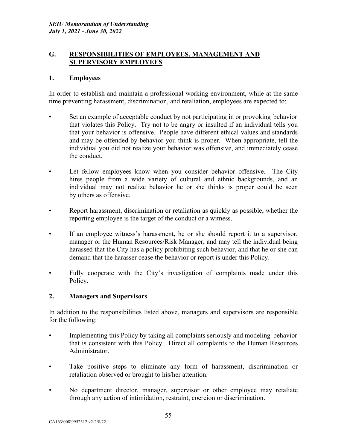## **G. RESPONSIBILITIES OF EMPLOYEES, MANAGEMENT AND SUPERVISORY EMPLOYEES**

### **1. Employees**

In order to establish and maintain a professional working environment, while at the same time preventing harassment, discrimination, and retaliation, employees are expected to:

- Set an example of acceptable conduct by not participating in or provoking behavior that violates this Policy. Try not to be angry or insulted if an individual tells you that your behavior is offensive. People have different ethical values and standards and may be offended by behavior you think is proper. When appropriate, tell the individual you did not realize your behavior was offensive, and immediately cease the conduct.
- Let fellow employees know when you consider behavior offensive. The City hires people from a wide variety of cultural and ethnic backgrounds, and an individual may not realize behavior he or she thinks is proper could be seen by others as offensive.
- Report harassment, discrimination or retaliation as quickly as possible, whether the reporting employee is the target of the conduct or a witness.
- If an employee witness's harassment, he or she should report it to a supervisor, manager or the Human Resources/Risk Manager, and may tell the individual being harassed that the City has a policy prohibiting such behavior, and that he or she can demand that the harasser cease the behavior or report is under this Policy.
- Fully cooperate with the City's investigation of complaints made under this Policy.

### **2. Managers and Supervisors**

In addition to the responsibilities listed above, managers and supervisors are responsible for the following:

- Implementing this Policy by taking all complaints seriously and modeling behavior that is consistent with this Policy. Direct all complaints to the Human Resources Administrator.
- Take positive steps to eliminate any form of harassment, discrimination or retaliation observed or brought to his/her attention.
- No department director, manager, supervisor or other employee may retaliate through any action of intimidation, restraint, coercion or discrimination.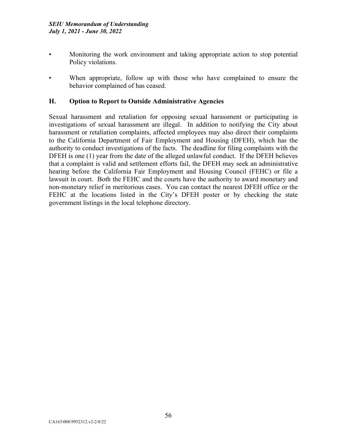- Monitoring the work environment and taking appropriate action to stop potential Policy violations.
- When appropriate, follow up with those who have complained to ensure the behavior complained of has ceased.

# **H. Option to Report to Outside Administrative Agencies**

Sexual harassment and retaliation for opposing sexual harassment or participating in investigations of sexual harassment are illegal. In addition to notifying the City about harassment or retaliation complaints, affected employees may also direct their complaints to the California Department of Fair Employment and Housing (DFEH), which has the authority to conduct investigations of the facts. The deadline for filing complaints with the DFEH is one (1) year from the date of the alleged unlawful conduct. If the DFEH believes that a complaint is valid and settlement efforts fail, the DFEH may seek an administrative hearing before the California Fair Employment and Housing Council (FEHC) or file a lawsuit in court. Both the FEHC and the courts have the authority to award monetary and non-monetary relief in meritorious cases. You can contact the nearest DFEH office or the FEHC at the locations listed in the City's DFEH poster or by checking the state government listings in the local telephone directory.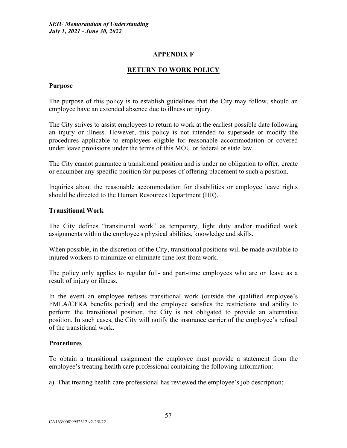### **APPENDIX F**

# **RETURN TO WORK POLICY**

#### **Purpose**

The purpose of this policy is to establish guidelines that the City may follow, should an employee have an extended absence due to illness or injury.

The City strives to assist employees to return to work at the earliest possible date following an injury or illness. However, this policy is not intended to supersede or modify the procedures applicable to employees eligible for reasonable accommodation or covered under leave provisions under the terms of this MOU or federal or state law.

The City cannot guarantee a transitional position and is under no obligation to offer, create or encumber any specific position for purposes of offering placement to such a position.

Inquiries about the reasonable accommodation for disabilities or employee leave rights should be directed to the Human Resources Department (HR).

#### **Transitional Work**

The City defines "transitional work" as temporary, light duty and/or modified work assignments within the employee's physical abilities, knowledge and skills.

When possible, in the discretion of the City, transitional positions will be made available to injured workers to minimize or eliminate time lost from work.

The policy only applies to regular full- and part-time employees who are on leave as a result of injury or illness.

In the event an employee refuses transitional work (outside the qualified employee's FMLA/CFRA benefits period) and the employee satisfies the restrictions and ability to perform the transitional position, the City is not obligated to provide an alternative position. In such cases, the City will notify the insurance carrier of the employee's refusal of the transitional work.

#### **Procedures**

To obtain a transitional assignment the employee must provide a statement from the employee's treating health care professional containing the following information:

a) That treating health care professional has reviewed the employee's job description;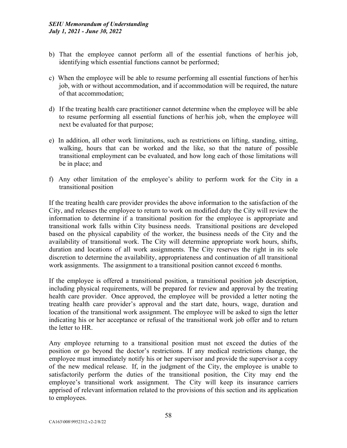- b) That the employee cannot perform all of the essential functions of her/his job, identifying which essential functions cannot be performed;
- c) When the employee will be able to resume performing all essential functions of her/his job, with or without accommodation, and if accommodation will be required, the nature of that accommodation;
- d) If the treating health care practitioner cannot determine when the employee will be able to resume performing all essential functions of her/his job, when the employee will next be evaluated for that purpose;
- e) In addition, all other work limitations, such as restrictions on lifting, standing, sitting, walking, hours that can be worked and the like, so that the nature of possible transitional employment can be evaluated, and how long each of those limitations will be in place; and
- f) Any other limitation of the employee's ability to perform work for the City in a transitional position

If the treating health care provider provides the above information to the satisfaction of the City, and releases the employee to return to work on modified duty the City will review the information to determine if a transitional position for the employee is appropriate and transitional work falls within City business needs. Transitional positions are developed based on the physical capability of the worker, the business needs of the City and the availability of transitional work. The City will determine appropriate work hours, shifts, duration and locations of all work assignments. The City reserves the right in its sole discretion to determine the availability, appropriateness and continuation of all transitional work assignments. The assignment to a transitional position cannot exceed 6 months.

If the employee is offered a transitional position, a transitional position job description, including physical requirements, will be prepared for review and approval by the treating health care provider. Once approved, the employee will be provided a letter noting the treating health care provider's approval and the start date, hours, wage, duration and location of the transitional work assignment. The employee will be asked to sign the letter indicating his or her acceptance or refusal of the transitional work job offer and to return the letter to HR.

Any employee returning to a transitional position must not exceed the duties of the position or go beyond the doctor's restrictions. If any medical restrictions change, the employee must immediately notify his or her supervisor and provide the supervisor a copy of the new medical release. If, in the judgment of the City, the employee is unable to satisfactorily perform the duties of the transitional position, the City may end the employee's transitional work assignment. The City will keep its insurance carriers apprised of relevant information related to the provisions of this section and its application to employees.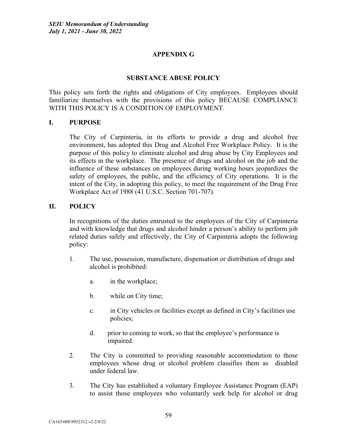# **APPENDIX G**

### **SUBSTANCE ABUSE POLICY**

This policy sets forth the rights and obligations of City employees. Employees should familiarize themselves with the provisions of this policy BECAUSE COMPLIANCE WITH THIS POLICY IS A CONDITION OF EMPLOYMENT.

### **I. PURPOSE**

The City of Carpinteria, in its efforts to provide a drug and alcohol free environment, has adopted this Drug and Alcohol Free Workplace Policy. It is the purpose of this policy to eliminate alcohol and drug abuse by City Employees and its effects in the workplace. The presence of drugs and alcohol on the job and the influence of these substances on employees during working hours jeopardizes the safety of employees, the public, and the efficiency of City operations. It is the intent of the City, in adopting this policy, to meet the requirement of the Drug Free Workplace Act of 1988 (41 U.S.C. Section 701-707).

### **II. POLICY**

In recognitions of the duties entrusted to the employees of the City of Carpinteria and with knowledge that drugs and alcohol hinder a person's ability to perform job related duties safely and effectively, the City of Carpinteria adopts the following policy:

- 1. The use, possession, manufacture, dispensation or distribution of drugs and alcohol is prohibited:
	- a. in the workplace;
	- b. while on City time;
	- c. in City vehicles or facilities except as defined in City's facilities use policies;
	- d. prior to coming to work, so that the employee's performance is impaired.
- 2. The City is committed to providing reasonable accommodation to those employees whose drug or alcohol problem classifies them as disabled under federal law.
- 3. The City has established a voluntary Employee Assistance Program (EAP) to assist those employees who voluntarily seek help for alcohol or drug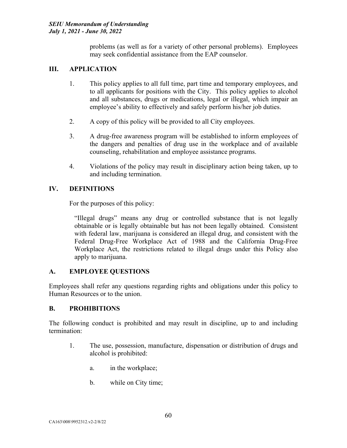problems (as well as for a variety of other personal problems). Employees may seek confidential assistance from the EAP counselor.

### **III. APPLICATION**

- 1. This policy applies to all full time, part time and temporary employees, and to all applicants for positions with the City. This policy applies to alcohol and all substances, drugs or medications, legal or illegal, which impair an employee's ability to effectively and safely perform his/her job duties.
- 2. A copy of this policy will be provided to all City employees.
- 3. A drug-free awareness program will be established to inform employees of the dangers and penalties of drug use in the workplace and of available counseling, rehabilitation and employee assistance programs.
- 4. Violations of the policy may result in disciplinary action being taken, up to and including termination.

# **IV. DEFINITIONS**

For the purposes of this policy:

 "Illegal drugs" means any drug or controlled substance that is not legally obtainable or is legally obtainable but has not been legally obtained. Consistent with federal law, marijuana is considered an illegal drug, and consistent with the Federal Drug-Free Workplace Act of 1988 and the California Drug-Free Workplace Act, the restrictions related to illegal drugs under this Policy also apply to marijuana.

### **A. EMPLOYEE QUESTIONS**

Employees shall refer any questions regarding rights and obligations under this policy to Human Resources or to the union.

### **B. PROHIBITIONS**

The following conduct is prohibited and may result in discipline, up to and including termination:

- 1. The use, possession, manufacture, dispensation or distribution of drugs and alcohol is prohibited:
	- a. in the workplace;
	- b. while on City time;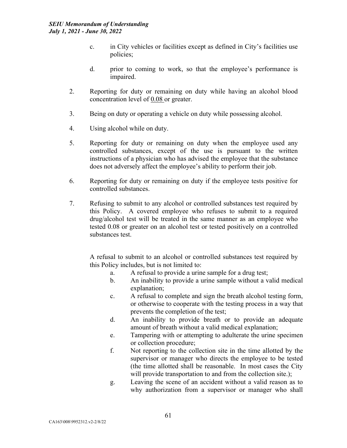- c. in City vehicles or facilities except as defined in City's facilities use policies;
- d. prior to coming to work, so that the employee's performance is impaired.
- 2. Reporting for duty or remaining on duty while having an alcohol blood concentration level of 0.08 or greater.
- 3. Being on duty or operating a vehicle on duty while possessing alcohol.
- 4. Using alcohol while on duty.
- 5. Reporting for duty or remaining on duty when the employee used any controlled substances, except of the use is pursuant to the written instructions of a physician who has advised the employee that the substance does not adversely affect the employee's ability to perform their job.
- 6. Reporting for duty or remaining on duty if the employee tests positive for controlled substances.
- 7. Refusing to submit to any alcohol or controlled substances test required by this Policy. A covered employee who refuses to submit to a required drug/alcohol test will be treated in the same manner as an employee who tested 0.08 or greater on an alcohol test or tested positively on a controlled substances test.

A refusal to submit to an alcohol or controlled substances test required by this Policy includes, but is not limited to:

- a. A refusal to provide a urine sample for a drug test;
- b. An inability to provide a urine sample without a valid medical explanation;
- c. A refusal to complete and sign the breath alcohol testing form, or otherwise to cooperate with the testing process in a way that prevents the completion of the test;
- d. An inability to provide breath or to provide an adequate amount of breath without a valid medical explanation;
- e. Tampering with or attempting to adulterate the urine specimen or collection procedure;
- f. Not reporting to the collection site in the time allotted by the supervisor or manager who directs the employee to be tested (the time allotted shall be reasonable. In most cases the City will provide transportation to and from the collection site.);
- g. Leaving the scene of an accident without a valid reason as to why authorization from a supervisor or manager who shall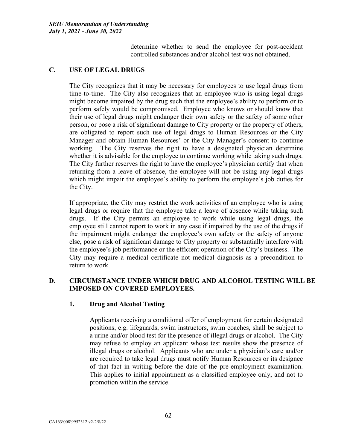determine whether to send the employee for post-accident controlled substances and/or alcohol test was not obtained.

### **C. USE OF LEGAL DRUGS**

The City recognizes that it may be necessary for employees to use legal drugs from time-to-time. The City also recognizes that an employee who is using legal drugs might become impaired by the drug such that the employee's ability to perform or to perform safely would be compromised. Employee who knows or should know that their use of legal drugs might endanger their own safety or the safety of some other person, or pose a risk of significant damage to City property or the property of others, are obligated to report such use of legal drugs to Human Resources or the City Manager and obtain Human Resources' or the City Manager's consent to continue working. The City reserves the right to have a designated physician determine whether it is advisable for the employee to continue working while taking such drugs. The City further reserves the right to have the employee's physician certify that when returning from a leave of absence, the employee will not be using any legal drugs which might impair the employee's ability to perform the employee's job duties for the City.

If appropriate, the City may restrict the work activities of an employee who is using legal drugs or require that the employee take a leave of absence while taking such drugs. If the City permits an employee to work while using legal drugs, the employee still cannot report to work in any case if impaired by the use of the drugs if the impairment might endanger the employee's own safety or the safety of anyone else, pose a risk of significant damage to City property or substantially interfere with the employee's job performance or the efficient operation of the City's business. The City may require a medical certificate not medical diagnosis as a precondition to return to work.

### **D. CIRCUMSTANCE UNDER WHICH DRUG AND ALCOHOL TESTING WILL BE IMPOSED ON COVERED EMPLOYEES.**

#### **1. Drug and Alcohol Testing**

Applicants receiving a conditional offer of employment for certain designated positions, e.g. lifeguards, swim instructors, swim coaches, shall be subject to a urine and/or blood test for the presence of illegal drugs or alcohol. The City may refuse to employ an applicant whose test results show the presence of illegal drugs or alcohol. Applicants who are under a physician's care and/or are required to take legal drugs must notify Human Resources or its designee of that fact in writing before the date of the pre-employment examination. This applies to initial appointment as a classified employee only, and not to promotion within the service.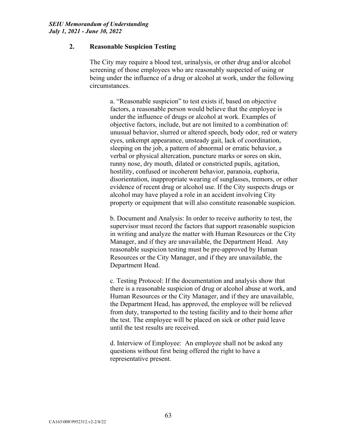### **2. Reasonable Suspicion Testing**

The City may require a blood test, urinalysis, or other drug and/or alcohol screening of those employees who are reasonably suspected of using or being under the influence of a drug or alcohol at work, under the following circumstances.

a. "Reasonable suspicion" to test exists if, based on objective factors, a reasonable person would believe that the employee is under the influence of drugs or alcohol at work. Examples of objective factors, include, but are not limited to a combination of: unusual behavior, slurred or altered speech, body odor, red or watery eyes, unkempt appearance, unsteady gait, lack of coordination, sleeping on the job, a pattern of abnormal or erratic behavior, a verbal or physical altercation, puncture marks or sores on skin, runny nose, dry mouth, dilated or constricted pupils, agitation, hostility, confused or incoherent behavior, paranoia, euphoria, disorientation, inappropriate wearing of sunglasses, tremors, or other evidence of recent drug or alcohol use. If the City suspects drugs or alcohol may have played a role in an accident involving City property or equipment that will also constitute reasonable suspicion.

b. Document and Analysis: In order to receive authority to test, the supervisor must record the factors that support reasonable suspicion in writing and analyze the matter with Human Resources or the City Manager, and if they are unavailable, the Department Head. Any reasonable suspicion testing must be pre-approved by Human Resources or the City Manager, and if they are unavailable, the Department Head.

c. Testing Protocol: If the documentation and analysis show that there is a reasonable suspicion of drug or alcohol abuse at work, and Human Resources or the City Manager, and if they are unavailable, the Department Head, has approved, the employee will be relieved from duty, transported to the testing facility and to their home after the test. The employee will be placed on sick or other paid leave until the test results are received.

d. Interview of Employee: An employee shall not be asked any questions without first being offered the right to have a representative present.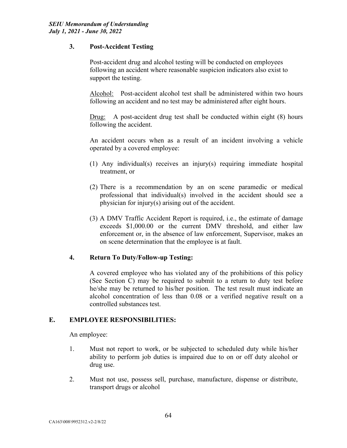### **3. Post-Accident Testing**

Post-accident drug and alcohol testing will be conducted on employees following an accident where reasonable suspicion indicators also exist to support the testing.

 Alcohol: Post-accident alcohol test shall be administered within two hours following an accident and no test may be administered after eight hours.

Drug: A post-accident drug test shall be conducted within eight (8) hours following the accident.

 An accident occurs when as a result of an incident involving a vehicle operated by a covered employee:

- (1) Any individual(s) receives an injury(s) requiring immediate hospital treatment, or
- (2) There is a recommendation by an on scene paramedic or medical professional that individual(s) involved in the accident should see a physician for injury(s) arising out of the accident.
- (3) A DMV Traffic Accident Report is required, i.e., the estimate of damage exceeds \$1,000.00 or the current DMV threshold, and either law enforcement or, in the absence of law enforcement, Supervisor, makes an on scene determination that the employee is at fault.

#### **4. Return To Duty/Follow-up Testing:**

A covered employee who has violated any of the prohibitions of this policy (See Section C) may be required to submit to a return to duty test before he/she may be returned to his/her position. The test result must indicate an alcohol concentration of less than 0.08 or a verified negative result on a controlled substances test.

#### **E. EMPLOYEE RESPONSIBILITIES:**

An employee:

- 1. Must not report to work, or be subjected to scheduled duty while his/her ability to perform job duties is impaired due to on or off duty alcohol or drug use.
- 2. Must not use, possess sell, purchase, manufacture, dispense or distribute, transport drugs or alcohol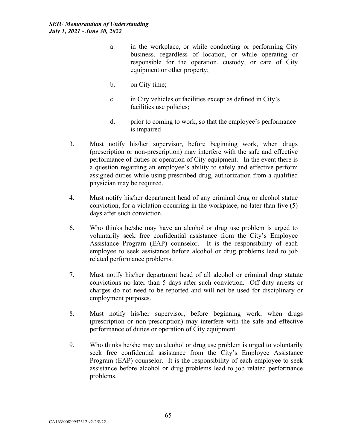- a. in the workplace, or while conducting or performing City business, regardless of location, or while operating or responsible for the operation, custody, or care of City equipment or other property;
- b. on City time;
- c. in City vehicles or facilities except as defined in City's facilities use policies;
- d. prior to coming to work, so that the employee's performance is impaired
- 3. Must notify his/her supervisor, before beginning work, when drugs (prescription or non-prescription) may interfere with the safe and effective performance of duties or operation of City equipment. In the event there is a question regarding an employee's ability to safely and effective perform assigned duties while using prescribed drug, authorization from a qualified physician may be required.
- 4. Must notify his/her department head of any criminal drug or alcohol statue conviction, for a violation occurring in the workplace, no later than five (5) days after such conviction.
- 6. Who thinks he/she may have an alcohol or drug use problem is urged to voluntarily seek free confidential assistance from the City's Employee Assistance Program (EAP) counselor. It is the responsibility of each employee to seek assistance before alcohol or drug problems lead to job related performance problems.
- 7. Must notify his/her department head of all alcohol or criminal drug statute convictions no later than 5 days after such conviction. Off duty arrests or charges do not need to be reported and will not be used for disciplinary or employment purposes.
- 8. Must notify his/her supervisor, before beginning work, when drugs (prescription or non-prescription) may interfere with the safe and effective performance of duties or operation of City equipment.
- 9. Who thinks he/she may an alcohol or drug use problem is urged to voluntarily seek free confidential assistance from the City's Employee Assistance Program (EAP) counselor. It is the responsibility of each employee to seek assistance before alcohol or drug problems lead to job related performance problems.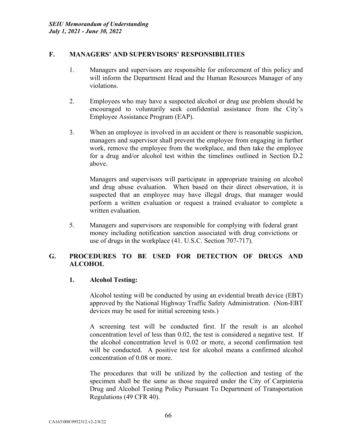#### **F. MANAGERS' AND SUPERVISORS' RESPONSIBILITIES**

- 1. Managers and supervisors are responsible for enforcement of this policy and will inform the Department Head and the Human Resources Manager of any violations.
- 2. Employees who may have a suspected alcohol or drug use problem should be encouraged to voluntarily seek confidential assistance from the City's Employee Assistance Program (EAP).
- 3. When an employee is involved in an accident or there is reasonable suspicion, managers and supervisor shall prevent the employee from engaging in further work, remove the employee from the workplace, and then take the employee for a drug and/or alcohol test within the timelines outlined in Section D.2 above.

 Managers and supervisors will participate in appropriate training on alcohol and drug abuse evaluation. When based on their direct observation, it is suspected that an employee may have illegal drugs, that manager would perform a written evaluation or request a trained evaluator to complete a written evaluation.

5. Managers and supervisors are responsible for complying with federal grant money including notification sanction associated with drug convictions or use of drugs in the workplace (41. U.S.C. Section 707-717).

# **G. PROCEDURES TO BE USED FOR DETECTION OF DRUGS AND ALCOHOL**

### **1. Alcohol Testing:**

Alcohol testing will be conducted by using an evidential breath device (EBT) approved by the National Highway Traffic Safety Administration. (Non-EBT devices may be used for initial screening tests.)

A screening test will be conducted first. If the result is an alcohol concentration level of less than 0.02, the test is considered a negative test. If the alcohol concentration level is 0.02 or more, a second confirmation test will be conducted. A positive test for alcohol means a confirmed alcohol concentration of 0.08 or more.

The procedures that will be utilized by the collection and testing of the specimen shall be the same as those required under the City of Carpinteria Drug and Alcohol Testing Policy Pursuant To Department of Transportation Regulations (49 CFR 40).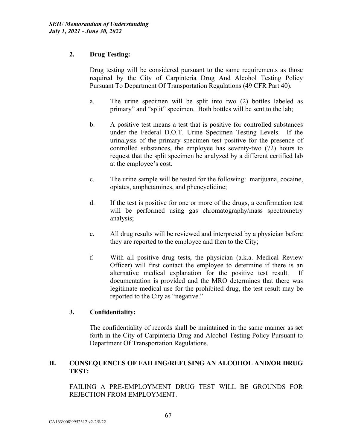## **2. Drug Testing:**

Drug testing will be considered pursuant to the same requirements as those required by the City of Carpinteria Drug And Alcohol Testing Policy Pursuant To Department Of Transportation Regulations (49 CFR Part 40).

- a. The urine specimen will be split into two (2) bottles labeled as primary" and "split" specimen. Both bottles will be sent to the lab;
- b. A positive test means a test that is positive for controlled substances under the Federal D.O.T. Urine Specimen Testing Levels. If the urinalysis of the primary specimen test positive for the presence of controlled substances, the employee has seventy-two (72) hours to request that the split specimen be analyzed by a different certified lab at the employee's cost.
- c. The urine sample will be tested for the following: marijuana, cocaine, opiates, amphetamines, and phencyclidine;
- d. If the test is positive for one or more of the drugs, a confirmation test will be performed using gas chromatography/mass spectrometry analysis;
- e. All drug results will be reviewed and interpreted by a physician before they are reported to the employee and then to the City;
- f. With all positive drug tests, the physician (a.k.a. Medical Review Officer) will first contact the employee to determine if there is an alternative medical explanation for the positive test result. If documentation is provided and the MRO determines that there was legitimate medical use for the prohibited drug, the test result may be reported to the City as "negative."

## **3. Confidentiality:**

The confidentiality of records shall be maintained in the same manner as set forth in the City of Carpinteria Drug and Alcohol Testing Policy Pursuant to Department Of Transportation Regulations.

### **H. CONSEQUENCES OF FAILING/REFUSING AN ALCOHOL AND/OR DRUG TEST:**

FAILING A PRE-EMPLOYMENT DRUG TEST WILL BE GROUNDS FOR REJECTION FROM EMPLOYMENT.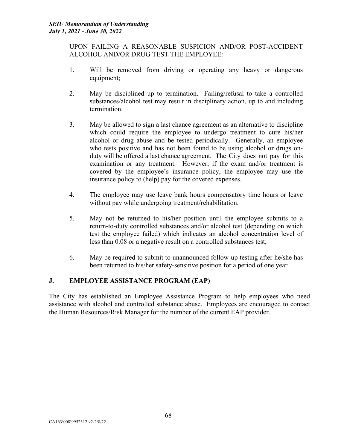UPON FAILING A REASONABLE SUSPICION AND/OR POST-ACCIDENT ALCOHOL AND/OR DRUG TEST THE EMPLOYEE:

- 1. Will be removed from driving or operating any heavy or dangerous equipment;
- 2. May be disciplined up to termination. Failing/refusal to take a controlled substances/alcohol test may result in disciplinary action, up to and including termination.
- 3. May be allowed to sign a last chance agreement as an alternative to discipline which could require the employee to undergo treatment to cure his/her alcohol or drug abuse and be tested periodically. Generally, an employee who tests positive and has not been found to be using alcohol or drugs onduty will be offered a last chance agreement. The City does not pay for this examination or any treatment. However, if the exam and/or treatment is covered by the employee's insurance policy, the employee may use the insurance policy to (help) pay for the covered expenses.
- 4. The employee may use leave bank hours compensatory time hours or leave without pay while undergoing treatment/rehabilitation.
- 5. May not be returned to his/her position until the employee submits to a return-to-duty controlled substances and/or alcohol test (depending on which test the employee failed) which indicates an alcohol concentration level of less than 0.08 or a negative result on a controlled substances test;
- 6. May be required to submit to unannounced follow-up testing after he/she has been returned to his/her safety-sensitive position for a period of one year

## **J. EMPLOYEE ASSISTANCE PROGRAM (EAP)**

The City has established an Employee Assistance Program to help employees who need assistance with alcohol and controlled substance abuse. Employees are encouraged to contact the Human Resources/Risk Manager for the number of the current EAP provider.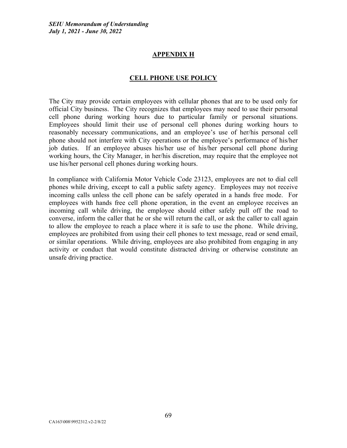### **APPENDIX H**

#### **CELL PHONE USE POLICY**

The City may provide certain employees with cellular phones that are to be used only for official City business. The City recognizes that employees may need to use their personal cell phone during working hours due to particular family or personal situations. Employees should limit their use of personal cell phones during working hours to reasonably necessary communications, and an employee's use of her/his personal cell phone should not interfere with City operations or the employee's performance of his/her job duties. If an employee abuses his/her use of his/her personal cell phone during working hours, the City Manager, in her/his discretion, may require that the employee not use his/her personal cell phones during working hours.

In compliance with California Motor Vehicle Code 23123, employees are not to dial cell phones while driving, except to call a public safety agency. Employees may not receive incoming calls unless the cell phone can be safely operated in a hands free mode. For employees with hands free cell phone operation, in the event an employee receives an incoming call while driving, the employee should either safely pull off the road to converse, inform the caller that he or she will return the call, or ask the caller to call again to allow the employee to reach a place where it is safe to use the phone. While driving, employees are prohibited from using their cell phones to text message, read or send email, or similar operations. While driving, employees are also prohibited from engaging in any activity or conduct that would constitute distracted driving or otherwise constitute an unsafe driving practice.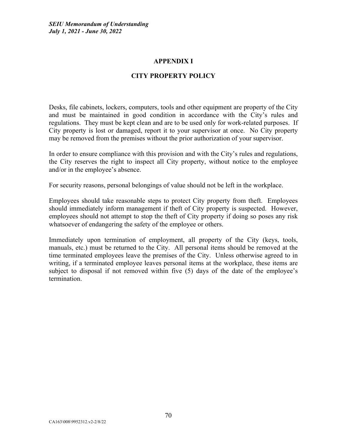#### **APPENDIX I**

### **CITY PROPERTY POLICY**

Desks, file cabinets, lockers, computers, tools and other equipment are property of the City and must be maintained in good condition in accordance with the City's rules and regulations. They must be kept clean and are to be used only for work-related purposes. If City property is lost or damaged, report it to your supervisor at once. No City property may be removed from the premises without the prior authorization of your supervisor.

In order to ensure compliance with this provision and with the City's rules and regulations, the City reserves the right to inspect all City property, without notice to the employee and/or in the employee's absence.

For security reasons, personal belongings of value should not be left in the workplace.

Employees should take reasonable steps to protect City property from theft. Employees should immediately inform management if theft of City property is suspected. However, employees should not attempt to stop the theft of City property if doing so poses any risk whatsoever of endangering the safety of the employee or others.

Immediately upon termination of employment, all property of the City (keys, tools, manuals, etc.) must be returned to the City. All personal items should be removed at the time terminated employees leave the premises of the City. Unless otherwise agreed to in writing, if a terminated employee leaves personal items at the workplace, these items are subject to disposal if not removed within five (5) days of the date of the employee's termination.